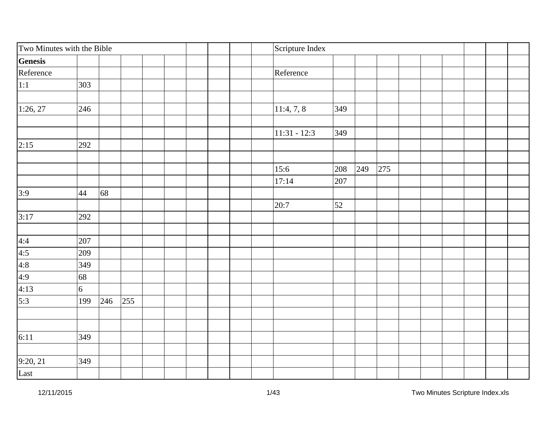| Two Minutes with the Bible                          |                |     |     |  |  | Scripture Index |     |     |     |  |  |  |
|-----------------------------------------------------|----------------|-----|-----|--|--|-----------------|-----|-----|-----|--|--|--|
| <b>Genesis</b>                                      |                |     |     |  |  |                 |     |     |     |  |  |  |
| Reference                                           |                |     |     |  |  | Reference       |     |     |     |  |  |  |
| 1:1                                                 | 303            |     |     |  |  |                 |     |     |     |  |  |  |
|                                                     |                |     |     |  |  |                 |     |     |     |  |  |  |
| 1:26, 27                                            | 246            |     |     |  |  | 11:4, 7, 8      | 349 |     |     |  |  |  |
|                                                     |                |     |     |  |  |                 |     |     |     |  |  |  |
|                                                     |                |     |     |  |  | $11:31 - 12:3$  | 349 |     |     |  |  |  |
| 2:15                                                | 292            |     |     |  |  |                 |     |     |     |  |  |  |
|                                                     |                |     |     |  |  |                 |     |     |     |  |  |  |
|                                                     |                |     |     |  |  | 15:6            | 208 | 249 | 275 |  |  |  |
|                                                     |                |     |     |  |  | 17:14           | 207 |     |     |  |  |  |
| 3:9                                                 | 44             | 68  |     |  |  |                 |     |     |     |  |  |  |
|                                                     |                |     |     |  |  | 20:7            | 52  |     |     |  |  |  |
| 3:17                                                | 292            |     |     |  |  |                 |     |     |     |  |  |  |
|                                                     |                |     |     |  |  |                 |     |     |     |  |  |  |
|                                                     | 207            |     |     |  |  |                 |     |     |     |  |  |  |
|                                                     | 209            |     |     |  |  |                 |     |     |     |  |  |  |
|                                                     | 349            |     |     |  |  |                 |     |     |     |  |  |  |
|                                                     | 68             |     |     |  |  |                 |     |     |     |  |  |  |
|                                                     | $\overline{6}$ |     |     |  |  |                 |     |     |     |  |  |  |
| $4:4$<br>$4:5$<br>$4:8$<br>$4:9$<br>$4:13$<br>$5:3$ | 199            | 246 | 255 |  |  |                 |     |     |     |  |  |  |
|                                                     |                |     |     |  |  |                 |     |     |     |  |  |  |
|                                                     |                |     |     |  |  |                 |     |     |     |  |  |  |
| 6:11                                                | 349            |     |     |  |  |                 |     |     |     |  |  |  |
|                                                     | 349            |     |     |  |  |                 |     |     |     |  |  |  |
| 9:20, 21<br>Last                                    |                |     |     |  |  |                 |     |     |     |  |  |  |
|                                                     |                |     |     |  |  |                 |     |     |     |  |  |  |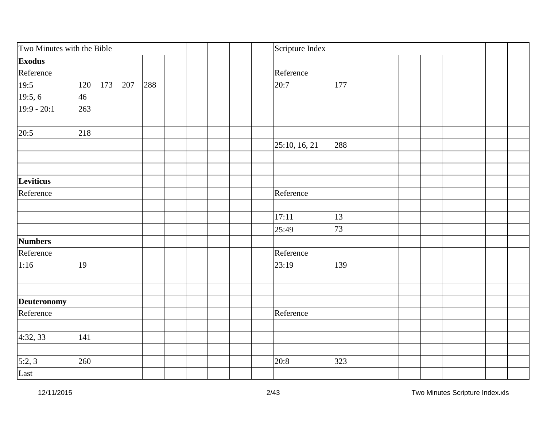| Two Minutes with the Bible |     |     |     |     |  | Scripture Index |     |  |  |  |
|----------------------------|-----|-----|-----|-----|--|-----------------|-----|--|--|--|
| <b>Exodus</b>              |     |     |     |     |  |                 |     |  |  |  |
| Reference                  |     |     |     |     |  | Reference       |     |  |  |  |
| $\frac{19:5}{19:5,6}$      | 120 | 173 | 207 | 288 |  | 20:7            | 177 |  |  |  |
|                            | 46  |     |     |     |  |                 |     |  |  |  |
| $19:9 - 20:1$              | 263 |     |     |     |  |                 |     |  |  |  |
|                            | 218 |     |     |     |  |                 |     |  |  |  |
| 20:5                       |     |     |     |     |  | 25:10, 16, 21   | 288 |  |  |  |
|                            |     |     |     |     |  |                 |     |  |  |  |
| Leviticus                  |     |     |     |     |  |                 |     |  |  |  |
| Reference                  |     |     |     |     |  | Reference       |     |  |  |  |
|                            |     |     |     |     |  |                 |     |  |  |  |
|                            |     |     |     |     |  | 17:11           | 13  |  |  |  |
|                            |     |     |     |     |  | 25:49           | 73  |  |  |  |
| <b>Numbers</b>             |     |     |     |     |  |                 |     |  |  |  |
| Reference                  |     |     |     |     |  | Reference       |     |  |  |  |
| 1:16                       | 19  |     |     |     |  | 23:19           | 139 |  |  |  |
|                            |     |     |     |     |  |                 |     |  |  |  |
| Deuteronomy                |     |     |     |     |  |                 |     |  |  |  |
| Reference                  |     |     |     |     |  | Reference       |     |  |  |  |
| 4:32, 33                   | 141 |     |     |     |  |                 |     |  |  |  |
|                            |     |     |     |     |  |                 |     |  |  |  |
| 5:2,3                      | 260 |     |     |     |  | 20:8            | 323 |  |  |  |
| Last                       |     |     |     |     |  |                 |     |  |  |  |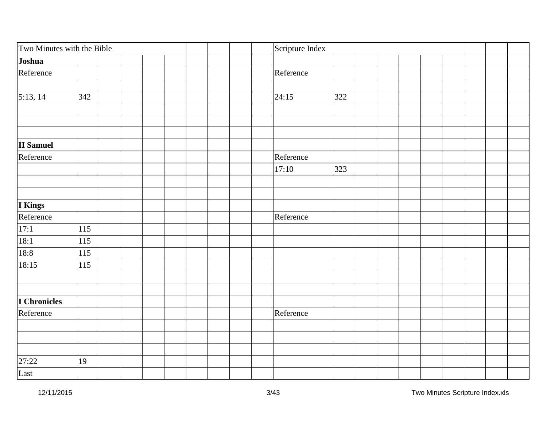| Two Minutes with the Bible |     |  |  | Scripture Index |     |  |  |  |
|----------------------------|-----|--|--|-----------------|-----|--|--|--|
| Joshua                     |     |  |  |                 |     |  |  |  |
| Reference                  |     |  |  | Reference       |     |  |  |  |
|                            |     |  |  |                 |     |  |  |  |
| $\sqrt{5:13,14}$           | 342 |  |  | 24:15           | 322 |  |  |  |
|                            |     |  |  |                 |     |  |  |  |
|                            |     |  |  |                 |     |  |  |  |
| <b>II</b> Samuel           |     |  |  |                 |     |  |  |  |
| Reference                  |     |  |  | Reference       |     |  |  |  |
|                            |     |  |  | 17:10           | 323 |  |  |  |
|                            |     |  |  |                 |     |  |  |  |
|                            |     |  |  |                 |     |  |  |  |
| I Kings                    |     |  |  |                 |     |  |  |  |
| Reference                  |     |  |  | Reference       |     |  |  |  |
| 17:1                       | 115 |  |  |                 |     |  |  |  |
| $\overline{18:1}$          | 115 |  |  |                 |     |  |  |  |
| 18:8                       | 115 |  |  |                 |     |  |  |  |
| 18:15                      | 115 |  |  |                 |     |  |  |  |
|                            |     |  |  |                 |     |  |  |  |
|                            |     |  |  |                 |     |  |  |  |
| I Chronicles               |     |  |  |                 |     |  |  |  |
| Reference                  |     |  |  | Reference       |     |  |  |  |
|                            |     |  |  |                 |     |  |  |  |
|                            |     |  |  |                 |     |  |  |  |
| 27:22                      | 19  |  |  |                 |     |  |  |  |
| Last                       |     |  |  |                 |     |  |  |  |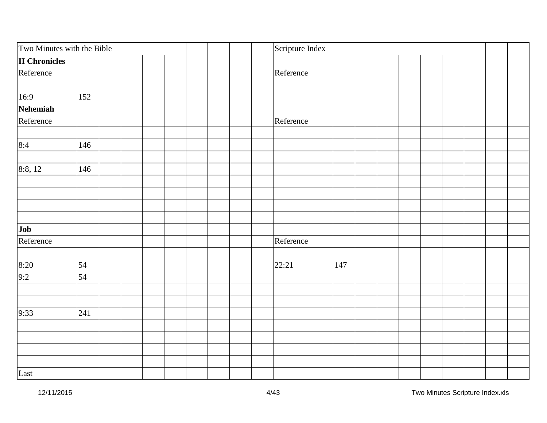| Two Minutes with the Bible |     |  |  | Scripture Index |     |  |  |  |
|----------------------------|-----|--|--|-----------------|-----|--|--|--|
| <b>II Chronicles</b>       |     |  |  |                 |     |  |  |  |
| Reference                  |     |  |  | Reference       |     |  |  |  |
|                            |     |  |  |                 |     |  |  |  |
| 16:9                       | 152 |  |  |                 |     |  |  |  |
| Nehemiah                   |     |  |  |                 |     |  |  |  |
| Reference                  |     |  |  | Reference       |     |  |  |  |
|                            |     |  |  |                 |     |  |  |  |
| 8:4                        | 146 |  |  |                 |     |  |  |  |
|                            |     |  |  |                 |     |  |  |  |
| 8:8, 12                    | 146 |  |  |                 |     |  |  |  |
|                            |     |  |  |                 |     |  |  |  |
|                            |     |  |  |                 |     |  |  |  |
|                            |     |  |  |                 |     |  |  |  |
|                            |     |  |  |                 |     |  |  |  |
| Job<br>Reference           |     |  |  |                 |     |  |  |  |
|                            |     |  |  | Reference       |     |  |  |  |
|                            |     |  |  |                 |     |  |  |  |
| $\frac{8:20}{9:2}$         | 54  |  |  | 22:21           | 147 |  |  |  |
|                            | 54  |  |  |                 |     |  |  |  |
|                            |     |  |  |                 |     |  |  |  |
|                            |     |  |  |                 |     |  |  |  |
| 9:33                       | 241 |  |  |                 |     |  |  |  |
|                            |     |  |  |                 |     |  |  |  |
|                            |     |  |  |                 |     |  |  |  |
|                            |     |  |  |                 |     |  |  |  |
|                            |     |  |  |                 |     |  |  |  |
| Last                       |     |  |  |                 |     |  |  |  |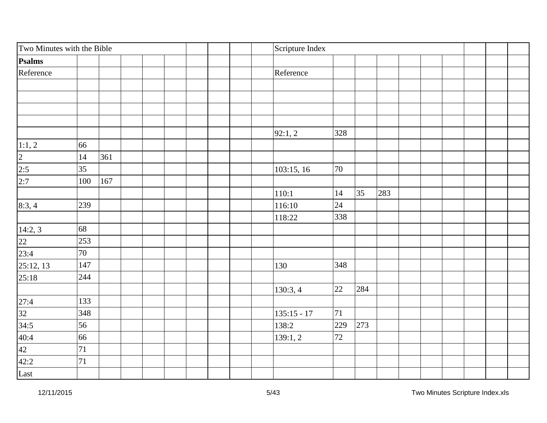| Two Minutes with the Bible                                                                             |         |     | Scripture Index |     |     |     |  |  |  |
|--------------------------------------------------------------------------------------------------------|---------|-----|-----------------|-----|-----|-----|--|--|--|
| Psalms                                                                                                 |         |     |                 |     |     |     |  |  |  |
| Reference                                                                                              |         |     | Reference       |     |     |     |  |  |  |
|                                                                                                        |         |     |                 |     |     |     |  |  |  |
|                                                                                                        |         |     |                 |     |     |     |  |  |  |
|                                                                                                        |         |     |                 |     |     |     |  |  |  |
|                                                                                                        |         |     |                 |     |     |     |  |  |  |
|                                                                                                        |         |     | 92:1,2          | 328 |     |     |  |  |  |
|                                                                                                        | 66      |     |                 |     |     |     |  |  |  |
|                                                                                                        | 14      | 361 |                 |     |     |     |  |  |  |
|                                                                                                        | 35      |     | 103:15, 16      | 70  |     |     |  |  |  |
| $\frac{1:1, 2}{2}$<br>$\frac{2:5}{2:7}$                                                                | $100\,$ | 167 |                 |     |     |     |  |  |  |
|                                                                                                        |         |     | 110:1           | 14  | 35  | 283 |  |  |  |
| 8:3,4                                                                                                  | 239     |     | 116:10          | 24  |     |     |  |  |  |
|                                                                                                        |         |     | 118:22          | 338 |     |     |  |  |  |
|                                                                                                        | 68      |     |                 |     |     |     |  |  |  |
| $\frac{14:2,3}{22}$                                                                                    | 253     |     |                 |     |     |     |  |  |  |
| 23:4                                                                                                   | $70\,$  |     |                 |     |     |     |  |  |  |
| $\overline{25:12, 13}$                                                                                 | 147     |     | 130             | 348 |     |     |  |  |  |
| 25:18                                                                                                  | 244     |     |                 |     |     |     |  |  |  |
|                                                                                                        |         |     | 130:3, 4        | 22  | 284 |     |  |  |  |
|                                                                                                        | 133     |     |                 |     |     |     |  |  |  |
|                                                                                                        | 348     |     | $135:15 - 17$   | 71  |     |     |  |  |  |
|                                                                                                        | 56      |     | 138:2           | 229 | 273 |     |  |  |  |
|                                                                                                        | 66      |     | 139:1, 2        | 72  |     |     |  |  |  |
|                                                                                                        | 71      |     |                 |     |     |     |  |  |  |
| $\begin{array}{r} 27:4 \\ \hline 32 \\ 34:5 \\ \hline 40:4 \\ \hline 42 \\ 42:2 \\ \hline \end{array}$ | 71      |     |                 |     |     |     |  |  |  |
|                                                                                                        |         |     |                 |     |     |     |  |  |  |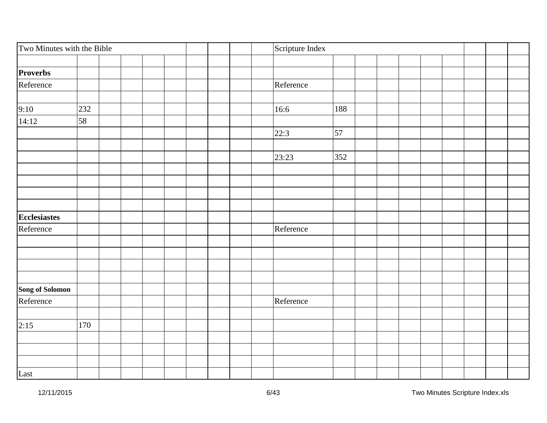| Two Minutes with the Bible |     |  |  | Scripture Index |     |  |  |  |  |
|----------------------------|-----|--|--|-----------------|-----|--|--|--|--|
|                            |     |  |  |                 |     |  |  |  |  |
| Proverbs                   |     |  |  |                 |     |  |  |  |  |
| Reference                  |     |  |  | Reference       |     |  |  |  |  |
|                            |     |  |  |                 |     |  |  |  |  |
| 9:10                       | 232 |  |  | 16:6            | 188 |  |  |  |  |
| 14:12                      | 58  |  |  |                 |     |  |  |  |  |
|                            |     |  |  | 22:3            | 57  |  |  |  |  |
|                            |     |  |  |                 |     |  |  |  |  |
|                            |     |  |  | 23:23           | 352 |  |  |  |  |
|                            |     |  |  |                 |     |  |  |  |  |
|                            |     |  |  |                 |     |  |  |  |  |
|                            |     |  |  |                 |     |  |  |  |  |
|                            |     |  |  |                 |     |  |  |  |  |
| Ecclesiastes               |     |  |  |                 |     |  |  |  |  |
| Reference                  |     |  |  | Reference       |     |  |  |  |  |
|                            |     |  |  |                 |     |  |  |  |  |
|                            |     |  |  |                 |     |  |  |  |  |
|                            |     |  |  |                 |     |  |  |  |  |
|                            |     |  |  |                 |     |  |  |  |  |
| Song of Solomon            |     |  |  |                 |     |  |  |  |  |
| Reference                  |     |  |  | Reference       |     |  |  |  |  |
|                            |     |  |  |                 |     |  |  |  |  |
| 2:15                       | 170 |  |  |                 |     |  |  |  |  |
|                            |     |  |  |                 |     |  |  |  |  |
|                            |     |  |  |                 |     |  |  |  |  |
|                            |     |  |  |                 |     |  |  |  |  |
| Last                       |     |  |  |                 |     |  |  |  |  |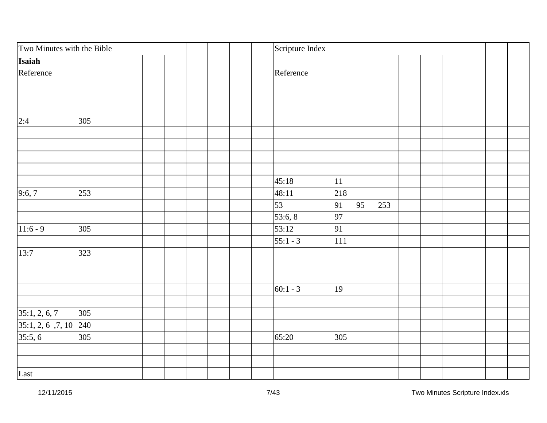| Two Minutes with the Bible |     |  | Scripture Index |         |    |     |  |  |  |
|----------------------------|-----|--|-----------------|---------|----|-----|--|--|--|
| Isaiah                     |     |  |                 |         |    |     |  |  |  |
| Reference                  |     |  | Reference       |         |    |     |  |  |  |
|                            |     |  |                 |         |    |     |  |  |  |
|                            |     |  |                 |         |    |     |  |  |  |
|                            |     |  |                 |         |    |     |  |  |  |
| 2:4                        | 305 |  |                 |         |    |     |  |  |  |
|                            |     |  |                 |         |    |     |  |  |  |
|                            |     |  |                 |         |    |     |  |  |  |
|                            |     |  |                 |         |    |     |  |  |  |
|                            |     |  |                 |         |    |     |  |  |  |
|                            |     |  | 45:18           | $11\,$  |    |     |  |  |  |
| 9:6,7                      | 253 |  | 48:11           | 218     |    |     |  |  |  |
|                            |     |  | 53              | 91      | 95 | 253 |  |  |  |
|                            |     |  | 53:6, 8         | 97      |    |     |  |  |  |
| $11:6 - 9$                 | 305 |  | 53:12           | 91      |    |     |  |  |  |
|                            |     |  | $55:1 - 3$      | $111\,$ |    |     |  |  |  |
| 13:7                       | 323 |  |                 |         |    |     |  |  |  |
|                            |     |  |                 |         |    |     |  |  |  |
|                            |     |  |                 |         |    |     |  |  |  |
|                            |     |  | $ 60:1 - 3$     | 19      |    |     |  |  |  |
|                            |     |  |                 |         |    |     |  |  |  |
| 35:1, 2, 6, 7              | 305 |  |                 |         |    |     |  |  |  |
| 35:1, 2, 6, 7, 10          | 240 |  |                 |         |    |     |  |  |  |
| 35:5, 6                    | 305 |  | 65:20           | 305     |    |     |  |  |  |
|                            |     |  |                 |         |    |     |  |  |  |
|                            |     |  |                 |         |    |     |  |  |  |
| Last                       |     |  |                 |         |    |     |  |  |  |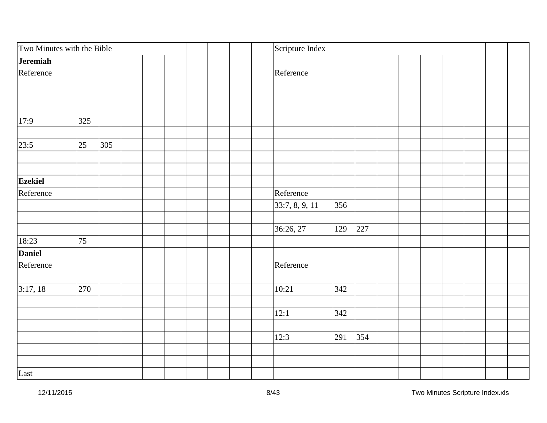| Two Minutes with the Bible |           | Scripture Index |     |     |  |  |
|----------------------------|-----------|-----------------|-----|-----|--|--|
| Jeremiah                   |           |                 |     |     |  |  |
| Reference                  |           | Reference       |     |     |  |  |
|                            |           |                 |     |     |  |  |
|                            |           |                 |     |     |  |  |
|                            |           |                 |     |     |  |  |
| 17:9                       | 325       |                 |     |     |  |  |
|                            |           |                 |     |     |  |  |
| 23:5                       | 25<br>305 |                 |     |     |  |  |
|                            |           |                 |     |     |  |  |
|                            |           |                 |     |     |  |  |
| <b>Ezekiel</b>             |           |                 |     |     |  |  |
| Reference                  |           | Reference       |     |     |  |  |
|                            |           | 33:7, 8, 9, 11  | 356 |     |  |  |
|                            |           |                 |     |     |  |  |
|                            |           | 36:26, 27       | 129 | 227 |  |  |
| 18:23                      | 75        |                 |     |     |  |  |
| <b>Daniel</b>              |           |                 |     |     |  |  |
| Reference                  |           | Reference       |     |     |  |  |
|                            |           |                 |     |     |  |  |
| 3:17, 18                   | 270       | 10:21           | 342 |     |  |  |
|                            |           |                 |     |     |  |  |
|                            |           | 12:1            | 342 |     |  |  |
|                            |           |                 |     |     |  |  |
|                            |           | 12:3            | 291 | 354 |  |  |
|                            |           |                 |     |     |  |  |
|                            |           |                 |     |     |  |  |
| Last                       |           |                 |     |     |  |  |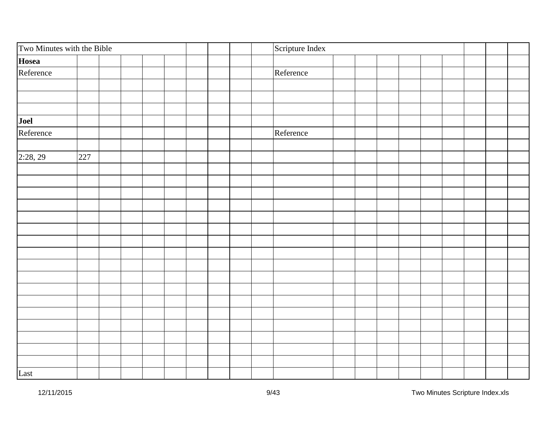| Two Minutes with the Bible | Scripture Index |  |
|----------------------------|-----------------|--|
| Hosea                      |                 |  |
| Reference                  | Reference       |  |
|                            |                 |  |
|                            |                 |  |
|                            |                 |  |
| Joel                       |                 |  |
| Reference                  | Reference       |  |
|                            |                 |  |
| 2:28,29<br>227             |                 |  |
|                            |                 |  |
|                            |                 |  |
|                            |                 |  |
|                            |                 |  |
|                            |                 |  |
|                            |                 |  |
|                            |                 |  |
|                            |                 |  |
|                            |                 |  |
|                            |                 |  |
|                            |                 |  |
|                            |                 |  |
|                            |                 |  |
|                            |                 |  |
|                            |                 |  |
|                            |                 |  |
|                            |                 |  |
| Last                       |                 |  |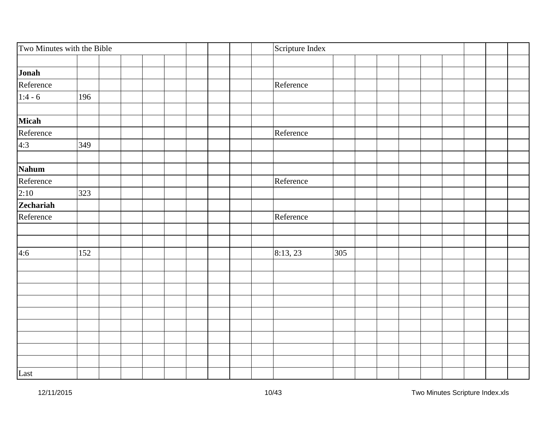| Two Minutes with the Bible      |     |  |  |  | Scripture Index |     |  |  |  |
|---------------------------------|-----|--|--|--|-----------------|-----|--|--|--|
|                                 |     |  |  |  |                 |     |  |  |  |
| Jonah                           |     |  |  |  |                 |     |  |  |  |
| Reference                       |     |  |  |  | Reference       |     |  |  |  |
| $\frac{1:4-6}{1:4-6}$           | 196 |  |  |  |                 |     |  |  |  |
|                                 |     |  |  |  |                 |     |  |  |  |
| <b>Micah</b>                    |     |  |  |  |                 |     |  |  |  |
| Reference                       |     |  |  |  | Reference       |     |  |  |  |
| 4:3                             | 349 |  |  |  |                 |     |  |  |  |
| Nahum                           |     |  |  |  |                 |     |  |  |  |
| Reference                       |     |  |  |  | Reference       |     |  |  |  |
|                                 | 323 |  |  |  |                 |     |  |  |  |
| $\frac{2:10}{\text{Zechariah}}$ |     |  |  |  |                 |     |  |  |  |
|                                 |     |  |  |  |                 |     |  |  |  |
| Reference                       |     |  |  |  | Reference       |     |  |  |  |
|                                 |     |  |  |  |                 |     |  |  |  |
| 4:6                             | 152 |  |  |  | 8:13,23         | 305 |  |  |  |
|                                 |     |  |  |  |                 |     |  |  |  |
|                                 |     |  |  |  |                 |     |  |  |  |
|                                 |     |  |  |  |                 |     |  |  |  |
|                                 |     |  |  |  |                 |     |  |  |  |
|                                 |     |  |  |  |                 |     |  |  |  |
|                                 |     |  |  |  |                 |     |  |  |  |
|                                 |     |  |  |  |                 |     |  |  |  |
|                                 |     |  |  |  |                 |     |  |  |  |
|                                 |     |  |  |  |                 |     |  |  |  |
| Last                            |     |  |  |  |                 |     |  |  |  |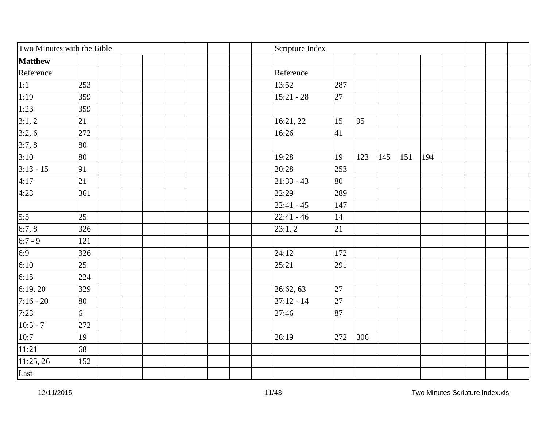| Two Minutes with the Bible |                | Scripture Index |     |     |     |     |     |  |  |
|----------------------------|----------------|-----------------|-----|-----|-----|-----|-----|--|--|
| <b>Matthew</b>             |                |                 |     |     |     |     |     |  |  |
| Reference                  |                | Reference       |     |     |     |     |     |  |  |
|                            | 253            | 13:52           | 287 |     |     |     |     |  |  |
| $\frac{1:1}{1:19}$         | 359            | $15:21 - 28$    | 27  |     |     |     |     |  |  |
| 1:23                       | 359            |                 |     |     |     |     |     |  |  |
| 3:1,2                      | 21             | 16:21, 22       | 15  | 95  |     |     |     |  |  |
| 3:2,6                      | 272            | 16:26           | 41  |     |     |     |     |  |  |
| 3:7,8                      | 80             |                 |     |     |     |     |     |  |  |
| 3:10                       | 80             | 19:28           | 19  | 123 | 145 | 151 | 194 |  |  |
| $3:13 - 15$                | 91             | 20:28           | 253 |     |     |     |     |  |  |
| 4:17                       | 21             | $ 21:33 - 43$   | 80  |     |     |     |     |  |  |
| 4:23                       | 361            | 22:29           | 289 |     |     |     |     |  |  |
|                            |                | $ 22:41 - 45$   | 147 |     |     |     |     |  |  |
| $\overline{5:5}$           | 25             | $ 22:41 - 46 $  | 14  |     |     |     |     |  |  |
| $\frac{6:7,8}{6:7-9}$      | 326            | 23:1,2          | 21  |     |     |     |     |  |  |
|                            | 121            |                 |     |     |     |     |     |  |  |
| 6:9                        | 326            | 24:12           | 172 |     |     |     |     |  |  |
| 6:10                       | 25             | 25:21           | 291 |     |     |     |     |  |  |
| $\frac{1}{6:15}$           | 224            |                 |     |     |     |     |     |  |  |
| 6:19,20                    | 329            | 26:62, 63       | 27  |     |     |     |     |  |  |
| $7:16 - 20$                | 80             | $27:12 - 14$    | 27  |     |     |     |     |  |  |
| 7:23                       | $\overline{6}$ | 27:46           | 87  |     |     |     |     |  |  |
| $10:5 - 7$                 | 272            |                 |     |     |     |     |     |  |  |
| 10:7                       | 19             | 28:19           | 272 | 306 |     |     |     |  |  |
| $\sqrt{11:21}$             | 68             |                 |     |     |     |     |     |  |  |
| 11:25, 26                  | 152            |                 |     |     |     |     |     |  |  |
| Last                       |                |                 |     |     |     |     |     |  |  |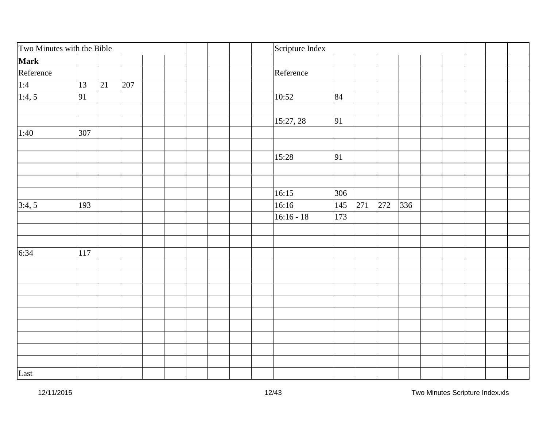| Two Minutes with the Bible |     |    |     |  | Scripture Index |     |     |     |     |  |  |  |
|----------------------------|-----|----|-----|--|-----------------|-----|-----|-----|-----|--|--|--|
| <b>Mark</b>                |     |    |     |  |                 |     |     |     |     |  |  |  |
| Reference                  |     |    |     |  | Reference       |     |     |     |     |  |  |  |
|                            | 13  | 21 | 207 |  |                 |     |     |     |     |  |  |  |
| $\frac{1:4}{1:4,5}$        | 91  |    |     |  | 10:52           | 84  |     |     |     |  |  |  |
|                            |     |    |     |  |                 |     |     |     |     |  |  |  |
|                            |     |    |     |  | 15:27, 28       | 91  |     |     |     |  |  |  |
| 1:40                       | 307 |    |     |  |                 |     |     |     |     |  |  |  |
|                            |     |    |     |  |                 |     |     |     |     |  |  |  |
|                            |     |    |     |  | 15:28           | 91  |     |     |     |  |  |  |
|                            |     |    |     |  |                 |     |     |     |     |  |  |  |
|                            |     |    |     |  | 16:15           | 306 |     |     |     |  |  |  |
| 3:4,5                      | 193 |    |     |  | 16:16           | 145 | 271 | 272 | 336 |  |  |  |
|                            |     |    |     |  | $16:16 - 18$    | 173 |     |     |     |  |  |  |
|                            |     |    |     |  |                 |     |     |     |     |  |  |  |
| 6:34                       | 117 |    |     |  |                 |     |     |     |     |  |  |  |
|                            |     |    |     |  |                 |     |     |     |     |  |  |  |
|                            |     |    |     |  |                 |     |     |     |     |  |  |  |
|                            |     |    |     |  |                 |     |     |     |     |  |  |  |
|                            |     |    |     |  |                 |     |     |     |     |  |  |  |
|                            |     |    |     |  |                 |     |     |     |     |  |  |  |
|                            |     |    |     |  |                 |     |     |     |     |  |  |  |
|                            |     |    |     |  |                 |     |     |     |     |  |  |  |
|                            |     |    |     |  |                 |     |     |     |     |  |  |  |
|                            |     |    |     |  |                 |     |     |     |     |  |  |  |
| Last                       |     |    |     |  |                 |     |     |     |     |  |  |  |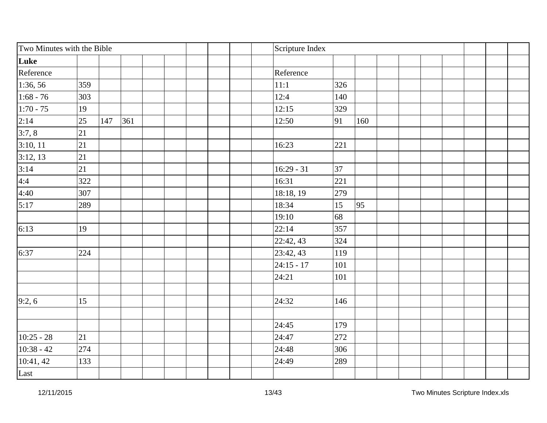| Two Minutes with the Bible |     |     |     | Scripture Index |     |     |  |  |  |
|----------------------------|-----|-----|-----|-----------------|-----|-----|--|--|--|
| Luke                       |     |     |     |                 |     |     |  |  |  |
| Reference                  |     |     |     | Reference       |     |     |  |  |  |
| 1:36, 56                   | 359 |     |     | 11:1            | 326 |     |  |  |  |
| $1:68 - 76$                | 303 |     |     | 12:4            | 140 |     |  |  |  |
| $1:70 - 75$                | 19  |     |     | 12:15           | 329 |     |  |  |  |
| 2:14                       | 25  | 147 | 361 | 12:50           | 91  | 160 |  |  |  |
| 3:7,8                      | 21  |     |     |                 |     |     |  |  |  |
| 3:10, 11                   | 21  |     |     | 16:23           | 221 |     |  |  |  |
| 3:12,13                    | 21  |     |     |                 |     |     |  |  |  |
| 3:14                       | 21  |     |     | $16:29 - 31$    | 37  |     |  |  |  |
| 4:4                        | 322 |     |     | 16:31           | 221 |     |  |  |  |
| 4:40                       | 307 |     |     | 18:18, 19       | 279 |     |  |  |  |
| 5:17                       | 289 |     |     | 18:34           | 15  | 95  |  |  |  |
|                            |     |     |     | 19:10           | 68  |     |  |  |  |
| 6:13                       | 19  |     |     | 22:14           | 357 |     |  |  |  |
|                            |     |     |     | 22:42, 43       | 324 |     |  |  |  |
| 6:37                       | 224 |     |     | 23:42, 43       | 119 |     |  |  |  |
|                            |     |     |     | $24:15 - 17$    | 101 |     |  |  |  |
|                            |     |     |     | 24:21           | 101 |     |  |  |  |
|                            |     |     |     |                 |     |     |  |  |  |
| 9:2,6                      | 15  |     |     | 24:32           | 146 |     |  |  |  |
|                            |     |     |     |                 |     |     |  |  |  |
|                            |     |     |     | 24:45           | 179 |     |  |  |  |
| $10:25 - 28$               | 21  |     |     | 24:47           | 272 |     |  |  |  |
| $10:38 - 42$               | 274 |     |     | 24:48           | 306 |     |  |  |  |
| 10:41, 42                  | 133 |     |     | 24:49           | 289 |     |  |  |  |
| Last                       |     |     |     |                 |     |     |  |  |  |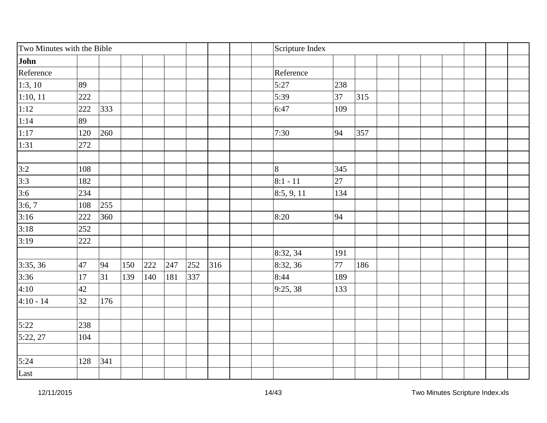| Two Minutes with the Bible |     |     |     |     |     |     |     | Scripture Index |     |     |  |  |  |
|----------------------------|-----|-----|-----|-----|-----|-----|-----|-----------------|-----|-----|--|--|--|
| John                       |     |     |     |     |     |     |     |                 |     |     |  |  |  |
| Reference                  |     |     |     |     |     |     |     | Reference       |     |     |  |  |  |
| 1:3, 10                    | 89  |     |     |     |     |     |     | 5:27            | 238 |     |  |  |  |
| $\sqrt{1:10, 11}$          | 222 |     |     |     |     |     |     | 5:39            | 37  | 315 |  |  |  |
| 1:12                       | 222 | 333 |     |     |     |     |     | 6:47            | 109 |     |  |  |  |
| $\overline{1:14}$          | 89  |     |     |     |     |     |     |                 |     |     |  |  |  |
| 1:17                       | 120 | 260 |     |     |     |     |     | 7:30            | 94  | 357 |  |  |  |
| 1:31                       | 272 |     |     |     |     |     |     |                 |     |     |  |  |  |
|                            | 108 |     |     |     |     |     |     | $\overline{8}$  | 345 |     |  |  |  |
| $\frac{3:2}{3:3}$          | 182 |     |     |     |     |     |     | $8:1 - 11$      | 27  |     |  |  |  |
|                            | 234 |     |     |     |     |     |     | 8:5, 9, 11      | 134 |     |  |  |  |
| $\frac{3:6}{3:6,7}$        | 108 | 255 |     |     |     |     |     |                 |     |     |  |  |  |
| $\frac{3:16}{ }$           | 222 | 360 |     |     |     |     |     | 8:20            | 94  |     |  |  |  |
| 3:18                       |     |     |     |     |     |     |     |                 |     |     |  |  |  |
|                            | 252 |     |     |     |     |     |     |                 |     |     |  |  |  |
| 3:19                       | 222 |     |     |     |     |     |     |                 |     |     |  |  |  |
|                            |     |     |     |     |     |     |     | 8:32, 34        | 191 |     |  |  |  |
| 3:35, 36                   | 47  | 94  | 150 | 222 | 247 | 252 | 316 | 8:32, 36        | 77  | 186 |  |  |  |
| 3:36                       | 17  | 31  | 139 | 140 | 181 | 337 |     | 8:44            | 189 |     |  |  |  |
| 4:10                       | 42  |     |     |     |     |     |     | 9:25,38         | 133 |     |  |  |  |
| $4:10 - 14$                | 32  | 176 |     |     |     |     |     |                 |     |     |  |  |  |
| 5:22                       | 238 |     |     |     |     |     |     |                 |     |     |  |  |  |
| 5:22, 27                   | 104 |     |     |     |     |     |     |                 |     |     |  |  |  |
|                            |     |     |     |     |     |     |     |                 |     |     |  |  |  |
| 5:24                       | 128 | 341 |     |     |     |     |     |                 |     |     |  |  |  |
| Last                       |     |     |     |     |     |     |     |                 |     |     |  |  |  |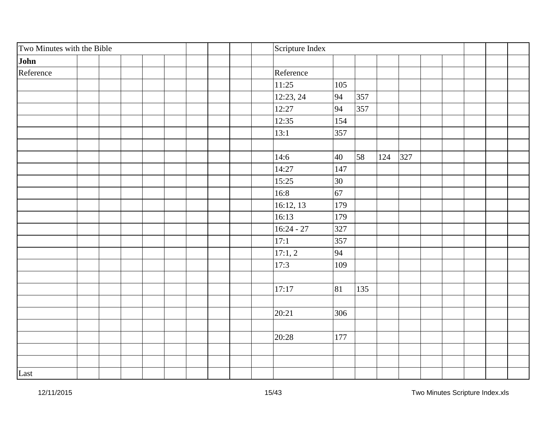| Two Minutes with the Bible | Scripture Index |     |     |            |  |  |  |
|----------------------------|-----------------|-----|-----|------------|--|--|--|
| John                       |                 |     |     |            |  |  |  |
| Reference                  | Reference       |     |     |            |  |  |  |
|                            | 11:25           | 105 |     |            |  |  |  |
|                            | 12:23, 24       | 94  | 357 |            |  |  |  |
|                            | 12:27           | 94  | 357 |            |  |  |  |
|                            | 12:35           | 154 |     |            |  |  |  |
|                            | 13:1            | 357 |     |            |  |  |  |
|                            |                 |     |     |            |  |  |  |
|                            | 14:6            | 40  | 58  | 327<br>124 |  |  |  |
|                            | 14:27           | 147 |     |            |  |  |  |
|                            | 15:25           | 30  |     |            |  |  |  |
|                            | 16:8            | 67  |     |            |  |  |  |
|                            | 16:12, 13       | 179 |     |            |  |  |  |
|                            | 16:13           | 179 |     |            |  |  |  |
|                            | $16:24 - 27$    | 327 |     |            |  |  |  |
|                            | 17:1            | 357 |     |            |  |  |  |
|                            | 17:1, 2         | 94  |     |            |  |  |  |
|                            | 17:3            | 109 |     |            |  |  |  |
|                            |                 |     |     |            |  |  |  |
|                            | 17:17           | 81  | 135 |            |  |  |  |
|                            |                 |     |     |            |  |  |  |
|                            | 20:21           | 306 |     |            |  |  |  |
|                            |                 |     |     |            |  |  |  |
|                            | 20:28           | 177 |     |            |  |  |  |
|                            |                 |     |     |            |  |  |  |
|                            |                 |     |     |            |  |  |  |
| Last                       |                 |     |     |            |  |  |  |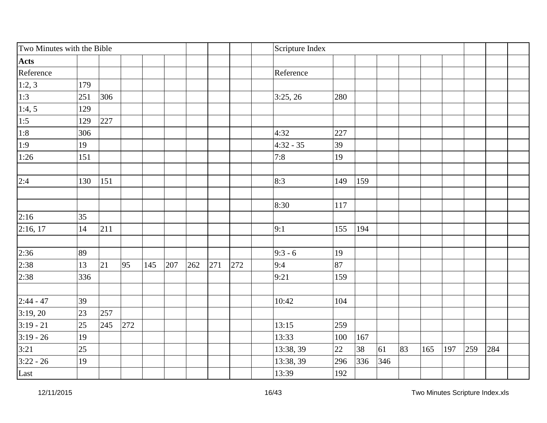| Two Minutes with the Bible |     |     |     |     |     |     |     |     | Scripture Index |     |     |     |    |     |     |     |     |  |
|----------------------------|-----|-----|-----|-----|-----|-----|-----|-----|-----------------|-----|-----|-----|----|-----|-----|-----|-----|--|
| <b>Acts</b>                |     |     |     |     |     |     |     |     |                 |     |     |     |    |     |     |     |     |  |
| Reference                  |     |     |     |     |     |     |     |     | Reference       |     |     |     |    |     |     |     |     |  |
| 1:2,3                      | 179 |     |     |     |     |     |     |     |                 |     |     |     |    |     |     |     |     |  |
| $\overline{1:3}$           | 251 | 306 |     |     |     |     |     |     | 3:25, 26        | 280 |     |     |    |     |     |     |     |  |
| $\overline{1:4,5}$         | 129 |     |     |     |     |     |     |     |                 |     |     |     |    |     |     |     |     |  |
|                            | 129 | 227 |     |     |     |     |     |     |                 |     |     |     |    |     |     |     |     |  |
| $\frac{1:5}{1:8}$          | 306 |     |     |     |     |     |     |     | 4:32            | 227 |     |     |    |     |     |     |     |  |
| $\overline{1:9}$           | 19  |     |     |     |     |     |     |     | $4:32 - 35$     | 39  |     |     |    |     |     |     |     |  |
| 1:26                       | 151 |     |     |     |     |     |     |     | 7:8             | 19  |     |     |    |     |     |     |     |  |
| 2:4                        | 130 | 151 |     |     |     |     |     |     | 8:3             | 149 | 159 |     |    |     |     |     |     |  |
|                            |     |     |     |     |     |     |     |     |                 |     |     |     |    |     |     |     |     |  |
|                            |     |     |     |     |     |     |     |     | 8:30            | 117 |     |     |    |     |     |     |     |  |
| 2:16                       | 35  |     |     |     |     |     |     |     |                 |     |     |     |    |     |     |     |     |  |
| 2:16, 17                   | 14  | 211 |     |     |     |     |     |     | 9:1             | 155 | 194 |     |    |     |     |     |     |  |
| 2:36                       | 89  |     |     |     |     |     |     |     | $ 9:3 - 6$      | 19  |     |     |    |     |     |     |     |  |
| 2:38                       | 13  | 21  | 95  | 145 | 207 | 262 | 271 | 272 | 9:4             | 87  |     |     |    |     |     |     |     |  |
| 2:38                       | 336 |     |     |     |     |     |     |     | 9:21            | 159 |     |     |    |     |     |     |     |  |
| $2:44 - 47$                | 39  |     |     |     |     |     |     |     | 10:42           | 104 |     |     |    |     |     |     |     |  |
| 3:19,20                    | 23  | 257 |     |     |     |     |     |     |                 |     |     |     |    |     |     |     |     |  |
| $3:19 - 21$                | 25  | 245 | 272 |     |     |     |     |     | 13:15           | 259 |     |     |    |     |     |     |     |  |
| $3:19 - 26$                | 19  |     |     |     |     |     |     |     | 13:33           | 100 | 167 |     |    |     |     |     |     |  |
| 3:21                       | 25  |     |     |     |     |     |     |     | 13:38, 39       | 22  | 38  | 61  | 83 | 165 | 197 | 259 | 284 |  |
| $3:22 - 26$                | 19  |     |     |     |     |     |     |     | 13:38, 39       | 296 | 336 | 346 |    |     |     |     |     |  |
| Last                       |     |     |     |     |     |     |     |     | 13:39           | 192 |     |     |    |     |     |     |     |  |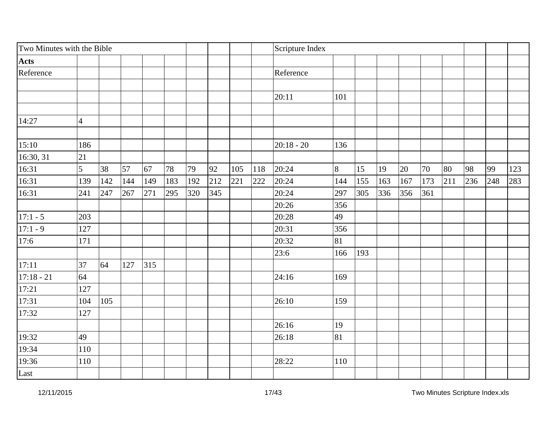| Two Minutes with the Bible |                |     |     |     |     |     |     |     |     | Scripture Index |     |     |     |     |     |     |     |     |     |
|----------------------------|----------------|-----|-----|-----|-----|-----|-----|-----|-----|-----------------|-----|-----|-----|-----|-----|-----|-----|-----|-----|
| <b>Acts</b>                |                |     |     |     |     |     |     |     |     |                 |     |     |     |     |     |     |     |     |     |
| Reference                  |                |     |     |     |     |     |     |     |     | Reference       |     |     |     |     |     |     |     |     |     |
|                            |                |     |     |     |     |     |     |     |     |                 |     |     |     |     |     |     |     |     |     |
|                            |                |     |     |     |     |     |     |     |     | 20:11           | 101 |     |     |     |     |     |     |     |     |
|                            |                |     |     |     |     |     |     |     |     |                 |     |     |     |     |     |     |     |     |     |
| 14:27                      | $\overline{4}$ |     |     |     |     |     |     |     |     |                 |     |     |     |     |     |     |     |     |     |
|                            |                |     |     |     |     |     |     |     |     |                 |     |     |     |     |     |     |     |     |     |
| 15:10                      | 186            |     |     |     |     |     |     |     |     | $20:18 - 20$    | 136 |     |     |     |     |     |     |     |     |
| 16:30, 31                  | 21             |     |     |     |     |     |     |     |     |                 |     |     |     |     |     |     |     |     |     |
| 16:31                      | 5              | 38  | 57  | 67  | 78  | 79  | 92  | 105 | 118 | 20:24           | 8   | 15  | 19  | 20  | 70  | 80  | 98  | 99  | 123 |
| $\overline{16:31}$         | 139            | 142 | 144 | 149 | 183 | 192 | 212 | 221 | 222 | 20:24           | 144 | 155 | 163 | 167 | 173 | 211 | 236 | 248 | 283 |
| 16:31                      | 241            | 247 | 267 | 271 | 295 | 320 | 345 |     |     | 20:24           | 297 | 305 | 336 | 356 | 361 |     |     |     |     |
|                            |                |     |     |     |     |     |     |     |     | 20:26           | 356 |     |     |     |     |     |     |     |     |
| $17:1 - 5$                 | 203            |     |     |     |     |     |     |     |     | 20:28           | 49  |     |     |     |     |     |     |     |     |
| $17:1 - 9$                 | 127            |     |     |     |     |     |     |     |     | 20:31           | 356 |     |     |     |     |     |     |     |     |
| 17:6                       | 171            |     |     |     |     |     |     |     |     | 20:32           | 81  |     |     |     |     |     |     |     |     |
|                            |                |     |     |     |     |     |     |     |     | 23:6            | 166 | 193 |     |     |     |     |     |     |     |
| 17:11                      | 37             | 64  | 127 | 315 |     |     |     |     |     |                 |     |     |     |     |     |     |     |     |     |
| $17:18 - 21$               | 64             |     |     |     |     |     |     |     |     | 24:16           | 169 |     |     |     |     |     |     |     |     |
| 17:21                      | 127            |     |     |     |     |     |     |     |     |                 |     |     |     |     |     |     |     |     |     |
| 17:31                      | 104            | 105 |     |     |     |     |     |     |     | 26:10           | 159 |     |     |     |     |     |     |     |     |
| 17:32                      | 127            |     |     |     |     |     |     |     |     |                 |     |     |     |     |     |     |     |     |     |
|                            |                |     |     |     |     |     |     |     |     | 26:16           | 19  |     |     |     |     |     |     |     |     |
| 19:32                      | 49             |     |     |     |     |     |     |     |     | 26:18           | 81  |     |     |     |     |     |     |     |     |
| $\overline{19:34}$         | 110            |     |     |     |     |     |     |     |     |                 |     |     |     |     |     |     |     |     |     |
| 19:36                      | 110            |     |     |     |     |     |     |     |     | 28:22           | 110 |     |     |     |     |     |     |     |     |
| Last                       |                |     |     |     |     |     |     |     |     |                 |     |     |     |     |     |     |     |     |     |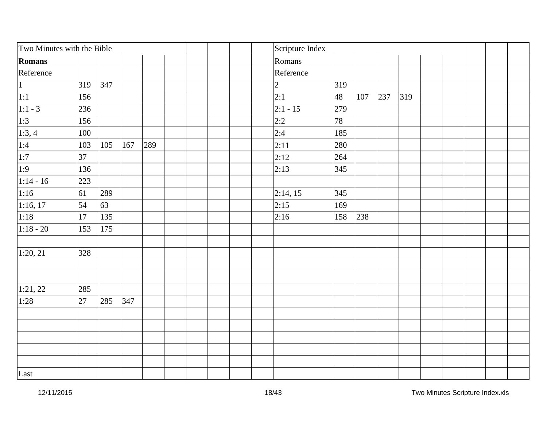| Two Minutes with the Bible |     |     |     |     |  |                | Scripture Index |     |     |     |     |  |  |  |
|----------------------------|-----|-----|-----|-----|--|----------------|-----------------|-----|-----|-----|-----|--|--|--|
| Romans                     |     |     |     |     |  |                | Romans          |     |     |     |     |  |  |  |
| Reference                  |     |     |     |     |  |                | Reference       |     |     |     |     |  |  |  |
| $\overline{1}$             | 319 | 347 |     |     |  | $\overline{2}$ |                 | 319 |     |     |     |  |  |  |
| $\overline{1:1}$           | 156 |     |     |     |  | 2:1            |                 | 48  | 107 | 237 | 319 |  |  |  |
| $1:1 - 3$                  | 236 |     |     |     |  |                | $2:1 - 15$      | 279 |     |     |     |  |  |  |
|                            | 156 |     |     |     |  |                | 2:2             | 78  |     |     |     |  |  |  |
| $\frac{1:3}{1:3,4}$        | 100 |     |     |     |  |                | 2:4             | 185 |     |     |     |  |  |  |
| 1:4                        | 103 | 105 | 167 | 289 |  |                | 2:11            | 280 |     |     |     |  |  |  |
| $\overline{1:7}$           | 37  |     |     |     |  |                | 2:12            | 264 |     |     |     |  |  |  |
| 1:9                        | 136 |     |     |     |  |                | 2:13            | 345 |     |     |     |  |  |  |
| $1:14 - 16$                | 223 |     |     |     |  |                |                 |     |     |     |     |  |  |  |
| 1:16                       | 61  | 289 |     |     |  |                | 2:14, 15        | 345 |     |     |     |  |  |  |
| 1:16, 17                   | 54  | 63  |     |     |  |                | 2:15            | 169 |     |     |     |  |  |  |
| 1:18                       | 17  | 135 |     |     |  |                | 2:16            | 158 | 238 |     |     |  |  |  |
| $1:18 - 20$                | 153 | 175 |     |     |  |                |                 |     |     |     |     |  |  |  |
|                            |     |     |     |     |  |                |                 |     |     |     |     |  |  |  |
| 1:20, 21                   | 328 |     |     |     |  |                |                 |     |     |     |     |  |  |  |
|                            |     |     |     |     |  |                |                 |     |     |     |     |  |  |  |
|                            |     |     |     |     |  |                |                 |     |     |     |     |  |  |  |
| 1:21, 22                   | 285 |     |     |     |  |                |                 |     |     |     |     |  |  |  |
| 1:28                       | 27  | 285 | 347 |     |  |                |                 |     |     |     |     |  |  |  |
|                            |     |     |     |     |  |                |                 |     |     |     |     |  |  |  |
|                            |     |     |     |     |  |                |                 |     |     |     |     |  |  |  |
|                            |     |     |     |     |  |                |                 |     |     |     |     |  |  |  |
|                            |     |     |     |     |  |                |                 |     |     |     |     |  |  |  |
|                            |     |     |     |     |  |                |                 |     |     |     |     |  |  |  |
| Last                       |     |     |     |     |  |                |                 |     |     |     |     |  |  |  |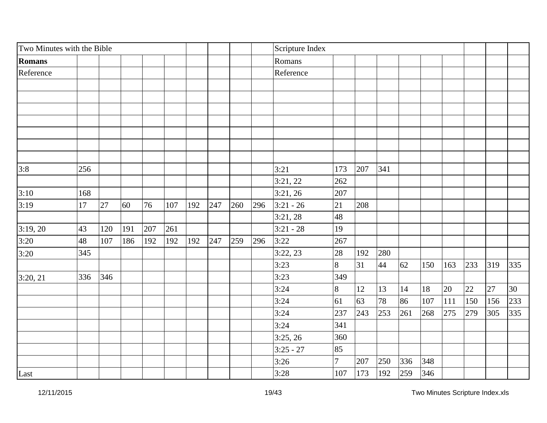| Two Minutes with the Bible |     |     |     |     |     |     |     |     |     | Scripture Index |                |     |     |     |     |     |     |               |     |
|----------------------------|-----|-----|-----|-----|-----|-----|-----|-----|-----|-----------------|----------------|-----|-----|-----|-----|-----|-----|---------------|-----|
| Romans                     |     |     |     |     |     |     |     |     |     | Romans          |                |     |     |     |     |     |     |               |     |
| Reference                  |     |     |     |     |     |     |     |     |     | Reference       |                |     |     |     |     |     |     |               |     |
|                            |     |     |     |     |     |     |     |     |     |                 |                |     |     |     |     |     |     |               |     |
|                            |     |     |     |     |     |     |     |     |     |                 |                |     |     |     |     |     |     |               |     |
|                            |     |     |     |     |     |     |     |     |     |                 |                |     |     |     |     |     |     |               |     |
|                            |     |     |     |     |     |     |     |     |     |                 |                |     |     |     |     |     |     |               |     |
|                            |     |     |     |     |     |     |     |     |     |                 |                |     |     |     |     |     |     |               |     |
|                            |     |     |     |     |     |     |     |     |     |                 |                |     |     |     |     |     |     |               |     |
|                            |     |     |     |     |     |     |     |     |     |                 |                |     |     |     |     |     |     |               |     |
| 3:8                        | 256 |     |     |     |     |     |     |     |     | 3:21            | 173            | 207 | 341 |     |     |     |     |               |     |
|                            |     |     |     |     |     |     |     |     |     | 3:21,22         | 262            |     |     |     |     |     |     |               |     |
| 3:10                       | 168 |     |     |     |     |     |     |     |     | 3:21,26         | 207            |     |     |     |     |     |     |               |     |
| 3:19                       | 17  | 27  | 60  | 76  | 107 | 192 | 247 | 260 | 296 | $3:21 - 26$     | 21             | 208 |     |     |     |     |     |               |     |
|                            |     |     |     |     |     |     |     |     |     | 3:21,28         | 48             |     |     |     |     |     |     |               |     |
| 3:19,20                    | 43  | 120 | 191 | 207 | 261 |     |     |     |     | $3:21 - 28$     | 19             |     |     |     |     |     |     |               |     |
| 3:20                       | 48  | 107 | 186 | 192 | 192 | 192 | 247 | 259 | 296 | 3:22            | 267            |     |     |     |     |     |     |               |     |
| 3:20                       | 345 |     |     |     |     |     |     |     |     | 3:22,23         | 28             | 192 | 280 |     |     |     |     |               |     |
|                            |     |     |     |     |     |     |     |     |     | 3:23            | 8              | 31  | 44  | 62  | 150 | 163 | 233 | $ 319\rangle$ | 335 |
| 3:20, 21                   | 336 | 346 |     |     |     |     |     |     |     | 3:23            | 349            |     |     |     |     |     |     |               |     |
|                            |     |     |     |     |     |     |     |     |     | 3:24            | 8              | 12  | 13  | 14  | 18  | 20  | 22  | 27            | 30  |
|                            |     |     |     |     |     |     |     |     |     | 3:24            | 61             | 63  | 78  | 86  | 107 | 111 | 150 | 156           | 233 |
|                            |     |     |     |     |     |     |     |     |     | 3:24            | 237            | 243 | 253 | 261 | 268 | 275 | 279 | 305           | 335 |
|                            |     |     |     |     |     |     |     |     |     | 3:24            | 341            |     |     |     |     |     |     |               |     |
|                            |     |     |     |     |     |     |     |     |     | 3:25, 26        | 360            |     |     |     |     |     |     |               |     |
|                            |     |     |     |     |     |     |     |     |     | $3:25 - 27$     | 85             |     |     |     |     |     |     |               |     |
|                            |     |     |     |     |     |     |     |     |     | 3:26            | $\overline{7}$ | 207 | 250 | 336 | 348 |     |     |               |     |
| Last                       |     |     |     |     |     |     |     |     |     | 3:28            | 107            | 173 | 192 | 259 | 346 |     |     |               |     |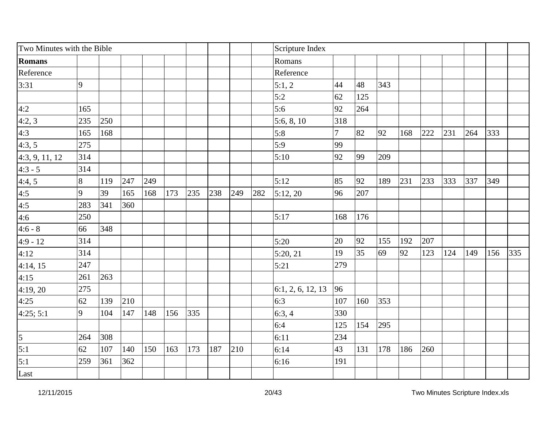|                   | Two Minutes with the Bible |     |     |     |     |     |     |     |     | Scripture Index   |     |     |     |     |     |     |     |     |     |
|-------------------|----------------------------|-----|-----|-----|-----|-----|-----|-----|-----|-------------------|-----|-----|-----|-----|-----|-----|-----|-----|-----|
| <b>Romans</b>     |                            |     |     |     |     |     |     |     |     | Romans            |     |     |     |     |     |     |     |     |     |
| Reference         |                            |     |     |     |     |     |     |     |     | Reference         |     |     |     |     |     |     |     |     |     |
| 3:31              | $\overline{9}$             |     |     |     |     |     |     |     |     | 5:1,2             | 44  | 48  | 343 |     |     |     |     |     |     |
|                   |                            |     |     |     |     |     |     |     |     | 5:2               | 62  | 125 |     |     |     |     |     |     |     |
| 4:2               | 165                        |     |     |     |     |     |     |     |     | 5:6               | 92  | 264 |     |     |     |     |     |     |     |
| 4:2,3             | 235                        | 250 |     |     |     |     |     |     |     | 5:6, 8, 10        | 318 |     |     |     |     |     |     |     |     |
| 4:3               | 165                        | 168 |     |     |     |     |     |     |     | 5:8               | 7   | 82  | 92  | 168 | 222 | 231 | 264 | 333 |     |
| 4:3,5             | 275                        |     |     |     |     |     |     |     |     | 5:9               | 99  |     |     |     |     |     |     |     |     |
| 4:3, 9, 11, 12    | 314                        |     |     |     |     |     |     |     |     | 5:10              | 92  | 99  | 209 |     |     |     |     |     |     |
| $4:3 - 5$         | 314                        |     |     |     |     |     |     |     |     |                   |     |     |     |     |     |     |     |     |     |
| 4:4,5             | 8                          | 119 | 247 | 249 |     |     |     |     |     | 5:12              | 85  | 92  | 189 | 231 | 233 | 333 | 337 | 349 |     |
| $\frac{4:5}{4:5}$ | $\overline{9}$             | 39  | 165 | 168 | 173 | 235 | 238 | 249 | 282 | 5:12,20           | 96  | 207 |     |     |     |     |     |     |     |
|                   | 283                        | 341 | 360 |     |     |     |     |     |     |                   |     |     |     |     |     |     |     |     |     |
| 4:6               | 250                        |     |     |     |     |     |     |     |     | 5:17              | 168 | 176 |     |     |     |     |     |     |     |
| $4:6 - 8$         | 66                         | 348 |     |     |     |     |     |     |     |                   |     |     |     |     |     |     |     |     |     |
| $4:9 - 12$        | 314                        |     |     |     |     |     |     |     |     | 5:20              | 20  | 92  | 155 | 192 | 207 |     |     |     |     |
| 4:12              | 314                        |     |     |     |     |     |     |     |     | 5:20, 21          | 19  | 35  | 69  | 92  | 123 | 124 | 149 | 156 | 335 |
| 4:14, 15          | 247                        |     |     |     |     |     |     |     |     | 5:21              | 279 |     |     |     |     |     |     |     |     |
| 4:15              | 261                        | 263 |     |     |     |     |     |     |     |                   |     |     |     |     |     |     |     |     |     |
| 4:19, 20          | 275                        |     |     |     |     |     |     |     |     | 6:1, 2, 6, 12, 13 | 96  |     |     |     |     |     |     |     |     |
| 4:25              | 62                         | 139 | 210 |     |     |     |     |     |     | 6:3               | 107 | 160 | 353 |     |     |     |     |     |     |
| 4:25; 5:1         | 9                          | 104 | 147 | 148 | 156 | 335 |     |     |     | 6:3,4             | 330 |     |     |     |     |     |     |     |     |
|                   |                            |     |     |     |     |     |     |     |     | 6:4               | 125 | 154 | 295 |     |     |     |     |     |     |
| $\frac{5}{5:1}$   | 264                        | 308 |     |     |     |     |     |     |     | 6:11              | 234 |     |     |     |     |     |     |     |     |
|                   | 62                         | 107 | 140 | 150 | 163 | 173 | 187 | 210 |     | 6:14              | 43  | 131 | 178 | 186 | 260 |     |     |     |     |
| 5:1               | 259                        | 361 | 362 |     |     |     |     |     |     | 6:16              | 191 |     |     |     |     |     |     |     |     |
| Last              |                            |     |     |     |     |     |     |     |     |                   |     |     |     |     |     |     |     |     |     |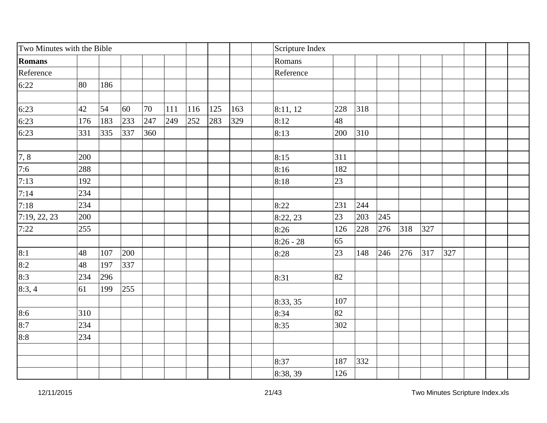| Two Minutes with the Bible |     |     |     |     |     |     |     |     | Scripture Index |     |     |     |     |     |     |  |  |
|----------------------------|-----|-----|-----|-----|-----|-----|-----|-----|-----------------|-----|-----|-----|-----|-----|-----|--|--|
| Romans                     |     |     |     |     |     |     |     |     | Romans          |     |     |     |     |     |     |  |  |
| Reference                  |     |     |     |     |     |     |     |     | Reference       |     |     |     |     |     |     |  |  |
| 6:22                       | 80  | 186 |     |     |     |     |     |     |                 |     |     |     |     |     |     |  |  |
|                            |     |     |     |     |     |     |     |     |                 |     |     |     |     |     |     |  |  |
| 6:23                       | 42  | 54  | 60  | 70  | 111 | 116 | 125 | 163 | 8:11, 12        | 228 | 318 |     |     |     |     |  |  |
| 6:23                       | 176 | 183 | 233 | 247 | 249 | 252 | 283 | 329 | 8:12            | 48  |     |     |     |     |     |  |  |
| 6:23                       | 331 | 335 | 337 | 360 |     |     |     |     | 8:13            | 200 | 310 |     |     |     |     |  |  |
| 7,8                        | 200 |     |     |     |     |     |     |     | 8:15            | 311 |     |     |     |     |     |  |  |
| 7:6                        | 288 |     |     |     |     |     |     |     | 8:16            | 182 |     |     |     |     |     |  |  |
| 7:13                       | 192 |     |     |     |     |     |     |     | 8:18            | 23  |     |     |     |     |     |  |  |
| 7:14                       | 234 |     |     |     |     |     |     |     |                 |     |     |     |     |     |     |  |  |
| 7:18                       | 234 |     |     |     |     |     |     |     | 8:22            | 231 | 244 |     |     |     |     |  |  |
| 7:19, 22, 23               | 200 |     |     |     |     |     |     |     | 8:22, 23        | 23  | 203 | 245 |     |     |     |  |  |
| 7:22                       | 255 |     |     |     |     |     |     |     | 8:26            | 126 | 228 | 276 | 318 | 327 |     |  |  |
|                            |     |     |     |     |     |     |     |     | $8:26 - 28$     | 65  |     |     |     |     |     |  |  |
| 8:1                        | 48  | 107 | 200 |     |     |     |     |     | 8:28            | 23  | 148 | 246 | 276 | 317 | 327 |  |  |
| 8:2                        | 48  | 197 | 337 |     |     |     |     |     |                 |     |     |     |     |     |     |  |  |
| 8:3                        | 234 | 296 |     |     |     |     |     |     | 8:31            | 82  |     |     |     |     |     |  |  |
| 8:3,4                      | 61  | 199 | 255 |     |     |     |     |     |                 |     |     |     |     |     |     |  |  |
|                            |     |     |     |     |     |     |     |     | 8:33, 35        | 107 |     |     |     |     |     |  |  |
| 8:6                        | 310 |     |     |     |     |     |     |     | 8:34            | 82  |     |     |     |     |     |  |  |
| 8:7                        | 234 |     |     |     |     |     |     |     | 8:35            | 302 |     |     |     |     |     |  |  |
| 8:8                        | 234 |     |     |     |     |     |     |     |                 |     |     |     |     |     |     |  |  |
|                            |     |     |     |     |     |     |     |     |                 |     |     |     |     |     |     |  |  |
|                            |     |     |     |     |     |     |     |     | 8:37            | 187 | 332 |     |     |     |     |  |  |
|                            |     |     |     |     |     |     |     |     | 8:38, 39        | 126 |     |     |     |     |     |  |  |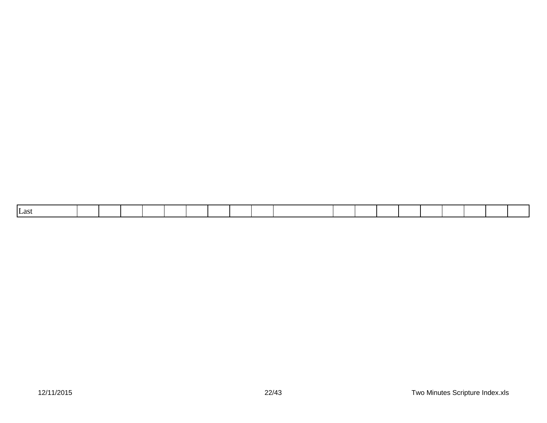|--|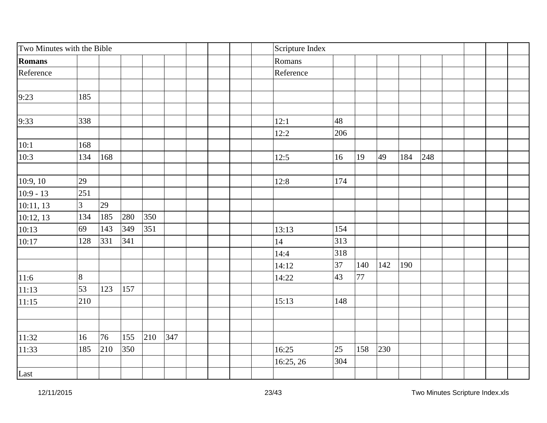| Two Minutes with the Bible |                |     |     |     |     |  | Scripture Index |     |     |     |     |     |  |  |
|----------------------------|----------------|-----|-----|-----|-----|--|-----------------|-----|-----|-----|-----|-----|--|--|
| Romans                     |                |     |     |     |     |  | Romans          |     |     |     |     |     |  |  |
| Reference                  |                |     |     |     |     |  | Reference       |     |     |     |     |     |  |  |
| 9:23                       | 185            |     |     |     |     |  |                 |     |     |     |     |     |  |  |
|                            |                |     |     |     |     |  |                 |     |     |     |     |     |  |  |
| 9:33                       | 338            |     |     |     |     |  | 12:1            | 48  |     |     |     |     |  |  |
|                            |                |     |     |     |     |  | 12:2            | 206 |     |     |     |     |  |  |
| 10:1                       | 168            |     |     |     |     |  |                 |     |     |     |     |     |  |  |
| 10:3                       | 134            | 168 |     |     |     |  | 12:5            | 16  | 19  | 49  | 184 | 248 |  |  |
| 10:9, 10                   | 29             |     |     |     |     |  | 12:8            | 174 |     |     |     |     |  |  |
| $10:9 - 13$                | 251            |     |     |     |     |  |                 |     |     |     |     |     |  |  |
| 10:11, 13                  | $\overline{3}$ | 29  |     |     |     |  |                 |     |     |     |     |     |  |  |
| 10:12, 13                  | 134            | 185 | 280 | 350 |     |  |                 |     |     |     |     |     |  |  |
| 10:13                      | 69             | 143 | 349 | 351 |     |  | 13:13           | 154 |     |     |     |     |  |  |
| 10:17                      | 128            | 331 | 341 |     |     |  | 14              | 313 |     |     |     |     |  |  |
|                            |                |     |     |     |     |  | 14:4            | 318 |     |     |     |     |  |  |
|                            |                |     |     |     |     |  | 14:12           | 37  | 140 | 142 | 190 |     |  |  |
| 11:6                       | 8              |     |     |     |     |  | 14:22           | 43  | 77  |     |     |     |  |  |
| 11:13                      | 53             | 123 | 157 |     |     |  |                 |     |     |     |     |     |  |  |
| 11:15                      | 210            |     |     |     |     |  | 15:13           | 148 |     |     |     |     |  |  |
|                            |                |     |     |     |     |  |                 |     |     |     |     |     |  |  |
| 11:32                      | 16             | 76  | 155 | 210 | 347 |  |                 |     |     |     |     |     |  |  |
| 11:33                      | 185            | 210 | 350 |     |     |  | 16:25           | 25  | 158 | 230 |     |     |  |  |
|                            |                |     |     |     |     |  | 16:25, 26       | 304 |     |     |     |     |  |  |
| Last                       |                |     |     |     |     |  |                 |     |     |     |     |     |  |  |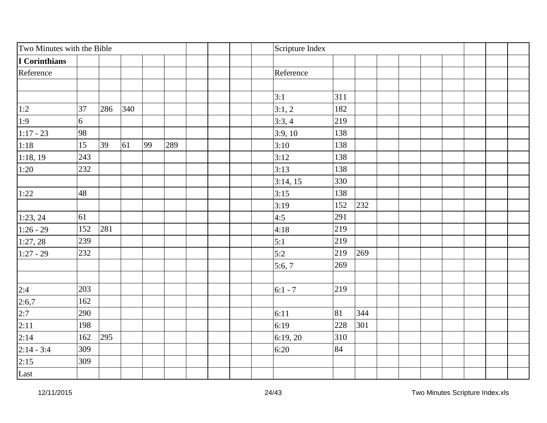| Two Minutes with the Bible |     |     |     |    |     | Scripture Index |     |     |  |  |  |
|----------------------------|-----|-----|-----|----|-----|-----------------|-----|-----|--|--|--|
| I Corinthians              |     |     |     |    |     |                 |     |     |  |  |  |
| Reference                  |     |     |     |    |     | Reference       |     |     |  |  |  |
|                            |     |     |     |    |     |                 |     |     |  |  |  |
|                            |     |     |     |    |     | 3:1             | 311 |     |  |  |  |
| 1:2                        | 37  | 286 | 340 |    |     | 3:1,2           | 182 |     |  |  |  |
| 1:9                        | 6   |     |     |    |     | 3:3,4           | 219 |     |  |  |  |
| $1:17 - 23$                | 98  |     |     |    |     | 3:9,10          | 138 |     |  |  |  |
| 1:18                       | 15  | 39  | 61  | 99 | 289 | 3:10            | 138 |     |  |  |  |
| 1:18,19                    | 243 |     |     |    |     | 3:12            | 138 |     |  |  |  |
| 1:20                       | 232 |     |     |    |     | 3:13            | 138 |     |  |  |  |
|                            |     |     |     |    |     | 3:14, 15        | 330 |     |  |  |  |
| 1:22                       | 48  |     |     |    |     | 3:15            | 138 |     |  |  |  |
|                            |     |     |     |    |     | 3:19            | 152 | 232 |  |  |  |
| 1:23, 24                   | 61  |     |     |    |     | 4:5             | 291 |     |  |  |  |
| $1:26 - 29$                | 152 | 281 |     |    |     | 4:18            | 219 |     |  |  |  |
| 1:27,28                    | 239 |     |     |    |     | 5:1             | 219 |     |  |  |  |
| $1:27 - 29$                | 232 |     |     |    |     | 5:2             | 219 | 269 |  |  |  |
|                            |     |     |     |    |     | 5:6,7           | 269 |     |  |  |  |
|                            |     |     |     |    |     |                 |     |     |  |  |  |
| 2:4                        | 203 |     |     |    |     | $6:1 - 7$       | 219 |     |  |  |  |
| $\frac{2:6,7}{2:7}$        | 162 |     |     |    |     |                 |     |     |  |  |  |
|                            | 290 |     |     |    |     | 6:11            | 81  | 344 |  |  |  |
| 2:11                       | 198 |     |     |    |     | 6:19            | 228 | 301 |  |  |  |
| 2:14                       | 162 | 295 |     |    |     | 6:19,20         | 310 |     |  |  |  |
| $2:14 - 3:4$               | 309 |     |     |    |     | 6:20            | 84  |     |  |  |  |
| 2:15                       | 309 |     |     |    |     |                 |     |     |  |  |  |
| Last                       |     |     |     |    |     |                 |     |     |  |  |  |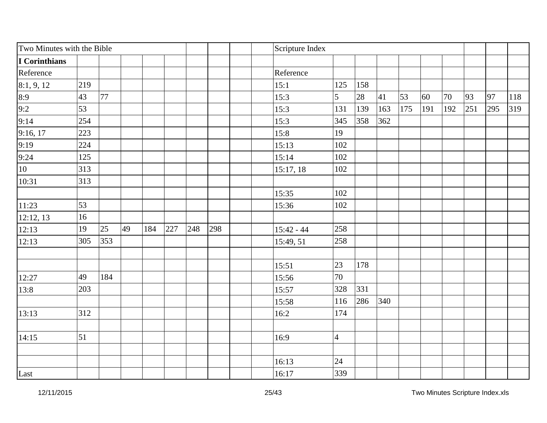| Two Minutes with the Bible |     |     |    |     |     |     |     | Scripture Index |                |     |     |     |     |     |     |     |     |
|----------------------------|-----|-----|----|-----|-----|-----|-----|-----------------|----------------|-----|-----|-----|-----|-----|-----|-----|-----|
| I Corinthians              |     |     |    |     |     |     |     |                 |                |     |     |     |     |     |     |     |     |
| Reference                  |     |     |    |     |     |     |     | Reference       |                |     |     |     |     |     |     |     |     |
| 8:1, 9, 12                 | 219 |     |    |     |     |     |     | 15:1            | 125            | 158 |     |     |     |     |     |     |     |
| 8:9                        | 43  | 77  |    |     |     |     |     | 15:3            | 5              | 28  | 41  | 53  | 60  | 70  | 93  | 97  | 118 |
| 9:2                        | 53  |     |    |     |     |     |     | 15:3            | 131            | 139 | 163 | 175 | 191 | 192 | 251 | 295 | 319 |
| 9:14                       | 254 |     |    |     |     |     |     | 15:3            | 345            | 358 | 362 |     |     |     |     |     |     |
| 9:16, 17                   | 223 |     |    |     |     |     |     | 15:8            | 19             |     |     |     |     |     |     |     |     |
| 9:19                       | 224 |     |    |     |     |     |     | 15:13           | 102            |     |     |     |     |     |     |     |     |
| 9:24                       | 125 |     |    |     |     |     |     | 15:14           | 102            |     |     |     |     |     |     |     |     |
| 10                         | 313 |     |    |     |     |     |     | 15:17,18        | 102            |     |     |     |     |     |     |     |     |
| 10:31                      | 313 |     |    |     |     |     |     |                 |                |     |     |     |     |     |     |     |     |
|                            |     |     |    |     |     |     |     | 15:35           | 102            |     |     |     |     |     |     |     |     |
| 11:23                      | 53  |     |    |     |     |     |     | 15:36           | 102            |     |     |     |     |     |     |     |     |
| 12:12, 13                  | 16  |     |    |     |     |     |     |                 |                |     |     |     |     |     |     |     |     |
| 12:13                      | 19  | 25  | 49 | 184 | 227 | 248 | 298 | $15:42 - 44$    | 258            |     |     |     |     |     |     |     |     |
| 12:13                      | 305 | 353 |    |     |     |     |     | 15:49, 51       | 258            |     |     |     |     |     |     |     |     |
|                            |     |     |    |     |     |     |     |                 |                |     |     |     |     |     |     |     |     |
|                            |     |     |    |     |     |     |     | 15:51           | 23             | 178 |     |     |     |     |     |     |     |
| 12:27                      | 49  | 184 |    |     |     |     |     | 15:56           | 70             |     |     |     |     |     |     |     |     |
| 13:8                       | 203 |     |    |     |     |     |     | 15:57           | 328            | 331 |     |     |     |     |     |     |     |
|                            |     |     |    |     |     |     |     | 15:58           | 116            | 286 | 340 |     |     |     |     |     |     |
| 13:13                      | 312 |     |    |     |     |     |     | 16:2            | 174            |     |     |     |     |     |     |     |     |
|                            |     |     |    |     |     |     |     |                 |                |     |     |     |     |     |     |     |     |
| 14:15                      | 51  |     |    |     |     |     |     | 16:9            | $\overline{4}$ |     |     |     |     |     |     |     |     |
|                            |     |     |    |     |     |     |     |                 |                |     |     |     |     |     |     |     |     |
|                            |     |     |    |     |     |     |     | 16:13           | 24             |     |     |     |     |     |     |     |     |
| Last                       |     |     |    |     |     |     |     | 16:17           | 339            |     |     |     |     |     |     |     |     |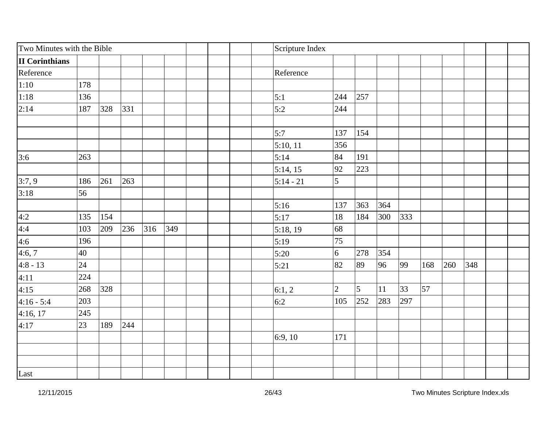| Two Minutes with the Bible |     |     |     |     |     |  | Scripture Index |                |                |     |     |     |     |     |  |
|----------------------------|-----|-----|-----|-----|-----|--|-----------------|----------------|----------------|-----|-----|-----|-----|-----|--|
| <b>II</b> Corinthians      |     |     |     |     |     |  |                 |                |                |     |     |     |     |     |  |
| Reference                  |     |     |     |     |     |  | Reference       |                |                |     |     |     |     |     |  |
| 1:10                       | 178 |     |     |     |     |  |                 |                |                |     |     |     |     |     |  |
| 1:18                       | 136 |     |     |     |     |  | 5:1             | 244            | 257            |     |     |     |     |     |  |
| 2:14                       | 187 | 328 | 331 |     |     |  | 5:2             | 244            |                |     |     |     |     |     |  |
|                            |     |     |     |     |     |  |                 |                |                |     |     |     |     |     |  |
|                            |     |     |     |     |     |  | 5:7             | 137            | 154            |     |     |     |     |     |  |
|                            |     |     |     |     |     |  | 5:10, 11        | 356            |                |     |     |     |     |     |  |
| 3:6                        | 263 |     |     |     |     |  | 5:14            | 84             | 191            |     |     |     |     |     |  |
|                            |     |     |     |     |     |  | 5:14, 15        | 92             | 223            |     |     |     |     |     |  |
| 3:7,9                      | 186 | 261 | 263 |     |     |  | $5:14 - 21$     | 5              |                |     |     |     |     |     |  |
| 3:18                       | 56  |     |     |     |     |  |                 |                |                |     |     |     |     |     |  |
|                            |     |     |     |     |     |  | 5:16            | 137            | 363            | 364 |     |     |     |     |  |
| 4:2                        | 135 | 154 |     |     |     |  | 5:17            | 18             | 184            | 300 | 333 |     |     |     |  |
| 4:4                        | 103 | 209 | 236 | 316 | 349 |  | 5:18, 19        | 68             |                |     |     |     |     |     |  |
| 4:6                        | 196 |     |     |     |     |  | 5:19            | 75             |                |     |     |     |     |     |  |
| 4:6,7                      | 40  |     |     |     |     |  | 5:20            | 6              | 278            | 354 |     |     |     |     |  |
| $4:8 - 13$                 | 24  |     |     |     |     |  | 5:21            | 82             | 89             | 96  | 99  | 168 | 260 | 348 |  |
| 4:11                       | 224 |     |     |     |     |  |                 |                |                |     |     |     |     |     |  |
| 4:15                       | 268 | 328 |     |     |     |  | 6:1,2           | $\overline{2}$ | $\overline{5}$ | 11  | 33  | 57  |     |     |  |
| $4:16 - 5:4$               | 203 |     |     |     |     |  | 6:2             | 105            | 252            | 283 | 297 |     |     |     |  |
| 4:16, 17                   | 245 |     |     |     |     |  |                 |                |                |     |     |     |     |     |  |
| 4:17                       | 23  | 189 | 244 |     |     |  |                 |                |                |     |     |     |     |     |  |
|                            |     |     |     |     |     |  | 6:9,10          | 171            |                |     |     |     |     |     |  |
|                            |     |     |     |     |     |  |                 |                |                |     |     |     |     |     |  |
|                            |     |     |     |     |     |  |                 |                |                |     |     |     |     |     |  |
| Last                       |     |     |     |     |     |  |                 |                |                |     |     |     |     |     |  |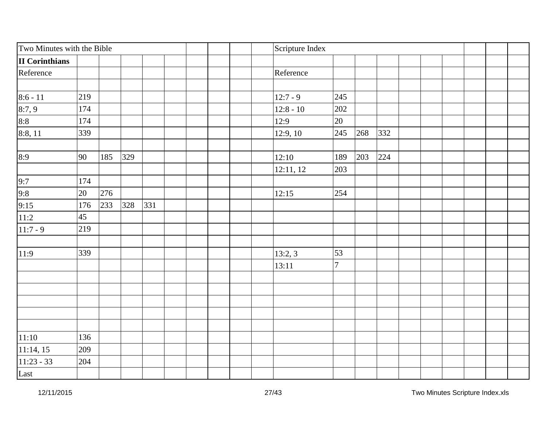| Two Minutes with the Bible |     |     |     |     |  | Scripture Index |                |     |     |  |  |  |
|----------------------------|-----|-----|-----|-----|--|-----------------|----------------|-----|-----|--|--|--|
| <b>II</b> Corinthians      |     |     |     |     |  |                 |                |     |     |  |  |  |
| Reference                  |     |     |     |     |  | Reference       |                |     |     |  |  |  |
|                            |     |     |     |     |  |                 |                |     |     |  |  |  |
| $8:6 - 11$                 | 219 |     |     |     |  | $12:7 - 9$      | 245            |     |     |  |  |  |
| 8:7,9                      | 174 |     |     |     |  | $12:8 - 10$     | 202            |     |     |  |  |  |
| 8:8                        | 174 |     |     |     |  | 12:9            | 20             |     |     |  |  |  |
| 8:8, 11                    | 339 |     |     |     |  | 12:9, 10        | 245            | 268 | 332 |  |  |  |
| 8:9                        | 90  | 185 | 329 |     |  | 12:10           | 189            | 203 | 224 |  |  |  |
|                            |     |     |     |     |  | 12:11, 12       | 203            |     |     |  |  |  |
| $\frac{9:7}{9:8}$<br>9:15  | 174 |     |     |     |  |                 |                |     |     |  |  |  |
|                            | 20  | 276 |     |     |  | 12:15           | 254            |     |     |  |  |  |
|                            | 176 | 233 | 328 | 331 |  |                 |                |     |     |  |  |  |
| 11:2                       | 45  |     |     |     |  |                 |                |     |     |  |  |  |
| $11:7 - 9$                 | 219 |     |     |     |  |                 |                |     |     |  |  |  |
| 11:9                       | 339 |     |     |     |  | 13:2,3          | 53             |     |     |  |  |  |
|                            |     |     |     |     |  | 13:11           | $\overline{7}$ |     |     |  |  |  |
|                            |     |     |     |     |  |                 |                |     |     |  |  |  |
|                            |     |     |     |     |  |                 |                |     |     |  |  |  |
|                            |     |     |     |     |  |                 |                |     |     |  |  |  |
|                            |     |     |     |     |  |                 |                |     |     |  |  |  |
|                            |     |     |     |     |  |                 |                |     |     |  |  |  |
| 11:10                      | 136 |     |     |     |  |                 |                |     |     |  |  |  |
| 11:14, 15                  | 209 |     |     |     |  |                 |                |     |     |  |  |  |
| $11:23 - 33$               | 204 |     |     |     |  |                 |                |     |     |  |  |  |
| Last                       |     |     |     |     |  |                 |                |     |     |  |  |  |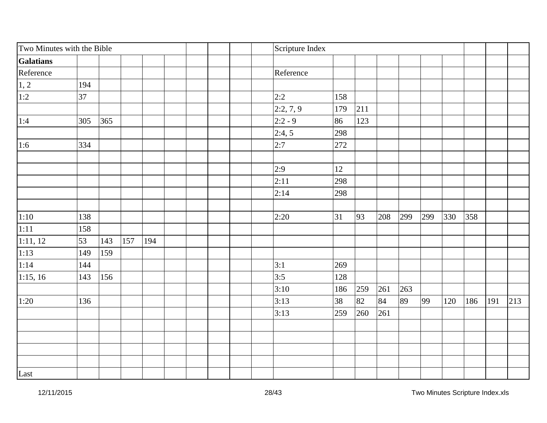| Two Minutes with the Bible |            |            |  |  | Scripture Index |     |     |     |     |     |     |     |     |     |
|----------------------------|------------|------------|--|--|-----------------|-----|-----|-----|-----|-----|-----|-----|-----|-----|
| <b>Galatians</b>           |            |            |  |  |                 |     |     |     |     |     |     |     |     |     |
| Reference                  |            |            |  |  | Reference       |     |     |     |     |     |     |     |     |     |
|                            | 194        |            |  |  |                 |     |     |     |     |     |     |     |     |     |
| $\frac{1,2}{1:2}$          | 37         |            |  |  | 2:2             | 158 |     |     |     |     |     |     |     |     |
|                            |            |            |  |  | 2:2, 7, 9       | 179 | 211 |     |     |     |     |     |     |     |
| 1:4                        | 365<br>305 |            |  |  | $2:2 - 9$       | 86  | 123 |     |     |     |     |     |     |     |
|                            |            |            |  |  | 2:4,5           | 298 |     |     |     |     |     |     |     |     |
| 1:6                        | 334        |            |  |  | 2:7             | 272 |     |     |     |     |     |     |     |     |
|                            |            |            |  |  | 2:9             | 12  |     |     |     |     |     |     |     |     |
|                            |            |            |  |  | 2:11            | 298 |     |     |     |     |     |     |     |     |
|                            |            |            |  |  | 2:14            | 298 |     |     |     |     |     |     |     |     |
|                            |            |            |  |  |                 |     |     |     |     |     |     |     |     |     |
| 1:10                       | 138        |            |  |  | 2:20            | 31  | 93  | 208 | 299 | 299 | 330 | 358 |     |     |
| 1:11                       | 158        |            |  |  |                 |     |     |     |     |     |     |     |     |     |
| $\overline{1:11,12}$       | 53<br>143  | 157<br>194 |  |  |                 |     |     |     |     |     |     |     |     |     |
| 1:13                       | 159<br>149 |            |  |  |                 |     |     |     |     |     |     |     |     |     |
| 1:14                       | 144        |            |  |  | 3:1             | 269 |     |     |     |     |     |     |     |     |
| 1:15, 16                   | 143<br>156 |            |  |  | 3:5             | 128 |     |     |     |     |     |     |     |     |
|                            |            |            |  |  | 3:10            | 186 | 259 | 261 | 263 |     |     |     |     |     |
|                            | 136        |            |  |  | 3:13            | 38  | 82  | 84  | 89  | 99  | 120 | 186 | 191 | 213 |
|                            |            |            |  |  | 3:13            | 259 | 260 | 261 |     |     |     |     |     |     |
|                            |            |            |  |  |                 |     |     |     |     |     |     |     |     |     |
|                            |            |            |  |  |                 |     |     |     |     |     |     |     |     |     |
|                            |            |            |  |  |                 |     |     |     |     |     |     |     |     |     |
|                            |            |            |  |  |                 |     |     |     |     |     |     |     |     |     |
| 1:20<br>Last               |            |            |  |  |                 |     |     |     |     |     |     |     |     |     |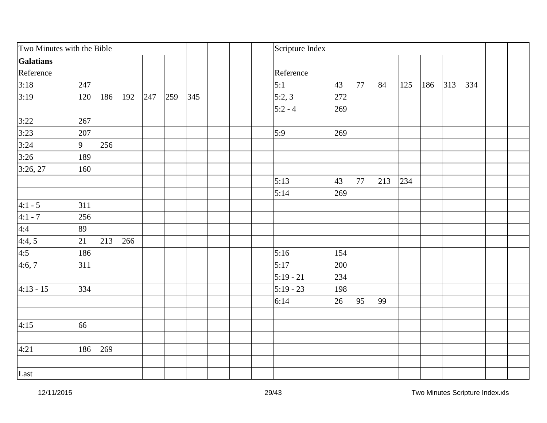| Two Minutes with the Bible |     |     |     |     |     |     | Scripture Index |     |    |     |     |     |     |     |  |
|----------------------------|-----|-----|-----|-----|-----|-----|-----------------|-----|----|-----|-----|-----|-----|-----|--|
| <b>Galatians</b>           |     |     |     |     |     |     |                 |     |    |     |     |     |     |     |  |
| Reference                  |     |     |     |     |     |     | Reference       |     |    |     |     |     |     |     |  |
| 3:18                       | 247 |     |     |     |     |     | 5:1             | 43  | 77 | 84  | 125 | 186 | 313 | 334 |  |
| 3:19                       | 120 | 186 | 192 | 247 | 259 | 345 | 5:2,3           | 272 |    |     |     |     |     |     |  |
|                            |     |     |     |     |     |     | $5:2 - 4$       | 269 |    |     |     |     |     |     |  |
| 3:22                       | 267 |     |     |     |     |     |                 |     |    |     |     |     |     |     |  |
| 3:23                       | 207 |     |     |     |     |     | 5:9             | 269 |    |     |     |     |     |     |  |
| 3:24                       | 9   | 256 |     |     |     |     |                 |     |    |     |     |     |     |     |  |
| 3:26                       | 189 |     |     |     |     |     |                 |     |    |     |     |     |     |     |  |
| 3:26, 27                   | 160 |     |     |     |     |     |                 |     |    |     |     |     |     |     |  |
|                            |     |     |     |     |     |     | 5:13            | 43  | 77 | 213 | 234 |     |     |     |  |
|                            |     |     |     |     |     |     | 5:14            | 269 |    |     |     |     |     |     |  |
| $4:1 - 5$                  | 311 |     |     |     |     |     |                 |     |    |     |     |     |     |     |  |
| $4:1 - 7$                  | 256 |     |     |     |     |     |                 |     |    |     |     |     |     |     |  |
|                            | 89  |     |     |     |     |     |                 |     |    |     |     |     |     |     |  |
| $\frac{4:4}{4:4,5}$        | 21  | 213 | 266 |     |     |     |                 |     |    |     |     |     |     |     |  |
| 4:5                        | 186 |     |     |     |     |     | 5:16            | 154 |    |     |     |     |     |     |  |
| 4:6,7                      | 311 |     |     |     |     |     | 5:17            | 200 |    |     |     |     |     |     |  |
|                            |     |     |     |     |     |     | $5:19 - 21$     | 234 |    |     |     |     |     |     |  |
| $4:13 - 15$                | 334 |     |     |     |     |     | $5:19 - 23$     | 198 |    |     |     |     |     |     |  |
|                            |     |     |     |     |     |     | 6:14            | 26  | 95 | 99  |     |     |     |     |  |
|                            |     |     |     |     |     |     |                 |     |    |     |     |     |     |     |  |
| 4:15                       | 66  |     |     |     |     |     |                 |     |    |     |     |     |     |     |  |
|                            |     |     |     |     |     |     |                 |     |    |     |     |     |     |     |  |
| 4:21                       | 186 | 269 |     |     |     |     |                 |     |    |     |     |     |     |     |  |
| Last                       |     |     |     |     |     |     |                 |     |    |     |     |     |     |     |  |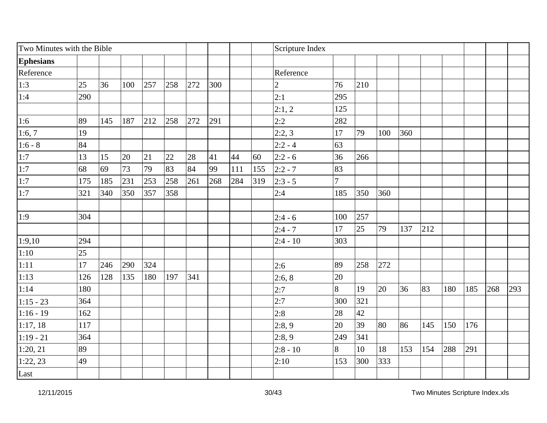| Two Minutes with the Bible |     |     |     |     |     |     |     |     |     | Scripture Index |                |     |     |     |     |     |     |     |     |
|----------------------------|-----|-----|-----|-----|-----|-----|-----|-----|-----|-----------------|----------------|-----|-----|-----|-----|-----|-----|-----|-----|
| <b>Ephesians</b>           |     |     |     |     |     |     |     |     |     |                 |                |     |     |     |     |     |     |     |     |
| Reference                  |     |     |     |     |     |     |     |     |     | Reference       |                |     |     |     |     |     |     |     |     |
| 1:3                        | 25  | 36  | 100 | 257 | 258 | 272 | 300 |     |     | 2               | 76             | 210 |     |     |     |     |     |     |     |
| 1:4                        | 290 |     |     |     |     |     |     |     |     | 2:1             | 295            |     |     |     |     |     |     |     |     |
|                            |     |     |     |     |     |     |     |     |     | 2:1,2           | 125            |     |     |     |     |     |     |     |     |
| 1:6                        | 89  | 145 | 187 | 212 | 258 | 272 | 291 |     |     | 2:2             | 282            |     |     |     |     |     |     |     |     |
| 1:6,7                      | 19  |     |     |     |     |     |     |     |     | 2:2,3           | 17             | 79  | 100 | 360 |     |     |     |     |     |
| $1:6 - 8$                  | 84  |     |     |     |     |     |     |     |     | $2:2 - 4$       | 63             |     |     |     |     |     |     |     |     |
| 1:7                        | 13  | 15  | 20  | 21  | 22  | 28  | 41  | 44  | 60  | $2:2 - 6$       | 36             | 266 |     |     |     |     |     |     |     |
| 1:7                        | 68  | 69  | 73  | 79  | 83  | 84  | 99  | 111 | 155 | $2:2 - 7$       | 83             |     |     |     |     |     |     |     |     |
| 1:7                        | 175 | 185 | 231 | 253 | 258 | 261 | 268 | 284 | 319 | $2:3 - 5$       | $\overline{7}$ |     |     |     |     |     |     |     |     |
| 1:7                        | 321 | 340 | 350 | 357 | 358 |     |     |     |     | 2:4             | 185            | 350 | 360 |     |     |     |     |     |     |
|                            |     |     |     |     |     |     |     |     |     |                 |                |     |     |     |     |     |     |     |     |
| 1:9                        | 304 |     |     |     |     |     |     |     |     | $2:4 - 6$       | 100            | 257 |     |     |     |     |     |     |     |
|                            |     |     |     |     |     |     |     |     |     | $2:4 - 7$       | 17             | 25  | 79  | 137 | 212 |     |     |     |     |
| 1:9,10                     | 294 |     |     |     |     |     |     |     |     | $2:4 - 10$      | 303            |     |     |     |     |     |     |     |     |
| 1:10                       | 25  |     |     |     |     |     |     |     |     |                 |                |     |     |     |     |     |     |     |     |
| 1:11                       | 17  | 246 | 290 | 324 |     |     |     |     |     | 2:6             | 89             | 258 | 272 |     |     |     |     |     |     |
| 1:13                       | 126 | 128 | 135 | 180 | 197 | 341 |     |     |     | 2:6, 8          | 20             |     |     |     |     |     |     |     |     |
| 1:14                       | 180 |     |     |     |     |     |     |     |     | 2:7             | 8              | 19  | 20  | 36  | 83  | 180 | 185 | 268 | 293 |
| $1:15 - 23$                | 364 |     |     |     |     |     |     |     |     | 2:7             | 300            | 321 |     |     |     |     |     |     |     |
| $1:16 - 19$                | 162 |     |     |     |     |     |     |     |     | 2:8             | 28             | 42  |     |     |     |     |     |     |     |
| 1:17,18                    | 117 |     |     |     |     |     |     |     |     | 2:8,9           | 20             | 39  | 80  | 86  | 145 | 150 | 176 |     |     |
| $1:19 - 21$                | 364 |     |     |     |     |     |     |     |     | 2:8,9           | 249            | 341 |     |     |     |     |     |     |     |
| 1:20, 21                   | 89  |     |     |     |     |     |     |     |     | $2:8 - 10$      | 8              | 10  | 18  | 153 | 154 | 288 | 291 |     |     |
| 1:22,23                    | 49  |     |     |     |     |     |     |     |     | 2:10            | 153            | 300 | 333 |     |     |     |     |     |     |
| Last                       |     |     |     |     |     |     |     |     |     |                 |                |     |     |     |     |     |     |     |     |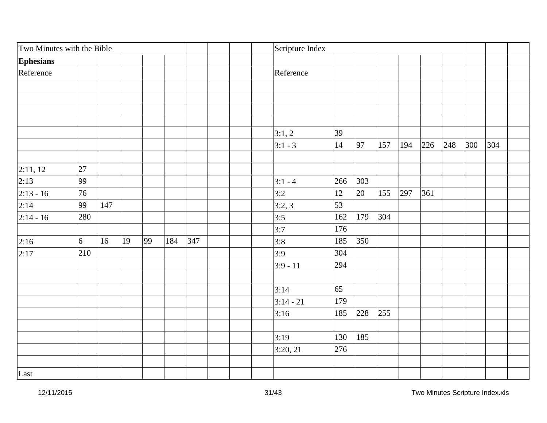| Two Minutes with the Bible |     |     |    |    |     |     | Scripture Index |     |     |     |     |     |     |     |     |  |
|----------------------------|-----|-----|----|----|-----|-----|-----------------|-----|-----|-----|-----|-----|-----|-----|-----|--|
| <b>Ephesians</b>           |     |     |    |    |     |     |                 |     |     |     |     |     |     |     |     |  |
| Reference                  |     |     |    |    |     |     | Reference       |     |     |     |     |     |     |     |     |  |
|                            |     |     |    |    |     |     |                 |     |     |     |     |     |     |     |     |  |
|                            |     |     |    |    |     |     |                 |     |     |     |     |     |     |     |     |  |
|                            |     |     |    |    |     |     |                 |     |     |     |     |     |     |     |     |  |
|                            |     |     |    |    |     |     |                 |     |     |     |     |     |     |     |     |  |
|                            |     |     |    |    |     |     | 3:1,2           | 39  |     |     |     |     |     |     |     |  |
|                            |     |     |    |    |     |     | $3:1 - 3$       | 14  | 97  | 157 | 194 | 226 | 248 | 300 | 304 |  |
|                            |     |     |    |    |     |     |                 |     |     |     |     |     |     |     |     |  |
| 2:11, 12                   | 27  |     |    |    |     |     |                 |     |     |     |     |     |     |     |     |  |
| 2:13                       | 99  |     |    |    |     |     | $ 3:1 - 4 $     | 266 | 303 |     |     |     |     |     |     |  |
| $2:13 - 16$                | 76  |     |    |    |     |     | 3:2             | 12  | 20  | 155 | 297 | 361 |     |     |     |  |
| 2:14                       | 99  | 147 |    |    |     |     | 3:2,3           | 53  |     |     |     |     |     |     |     |  |
| $2:14 - 16$                | 280 |     |    |    |     |     | 3:5             | 162 | 179 | 304 |     |     |     |     |     |  |
|                            |     |     |    |    |     |     | 3:7             | 176 |     |     |     |     |     |     |     |  |
| 2:16                       | 6   | 16  | 19 | 99 | 184 | 347 | 3:8             | 185 | 350 |     |     |     |     |     |     |  |
| 2:17                       | 210 |     |    |    |     |     | 3:9             | 304 |     |     |     |     |     |     |     |  |
|                            |     |     |    |    |     |     | $3:9 - 11$      | 294 |     |     |     |     |     |     |     |  |
|                            |     |     |    |    |     |     |                 |     |     |     |     |     |     |     |     |  |
|                            |     |     |    |    |     |     | 3:14            | 65  |     |     |     |     |     |     |     |  |
|                            |     |     |    |    |     |     | $3:14 - 21$     | 179 |     |     |     |     |     |     |     |  |
|                            |     |     |    |    |     |     | 3:16            | 185 | 228 | 255 |     |     |     |     |     |  |
|                            |     |     |    |    |     |     |                 |     |     |     |     |     |     |     |     |  |
|                            |     |     |    |    |     |     | 3:19            | 130 | 185 |     |     |     |     |     |     |  |
|                            |     |     |    |    |     |     | 3:20, 21        | 276 |     |     |     |     |     |     |     |  |
|                            |     |     |    |    |     |     |                 |     |     |     |     |     |     |     |     |  |
| Last                       |     |     |    |    |     |     |                 |     |     |     |     |     |     |     |     |  |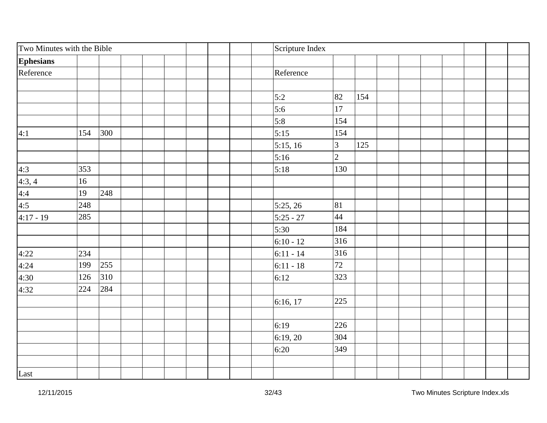| Two Minutes with the Bible               |     |     | Scripture Index |                |     |  |  |  |
|------------------------------------------|-----|-----|-----------------|----------------|-----|--|--|--|
| <b>Ephesians</b>                         |     |     |                 |                |     |  |  |  |
| Reference                                |     |     | Reference       |                |     |  |  |  |
|                                          |     |     |                 |                |     |  |  |  |
|                                          |     |     | 5:2             | 82             | 154 |  |  |  |
|                                          |     |     | 5:6             | 17             |     |  |  |  |
|                                          |     |     | 5:8             | 154            |     |  |  |  |
| 4:1                                      | 154 | 300 | 5:15            | 154            |     |  |  |  |
|                                          |     |     | 5:15, 16        | 3              | 125 |  |  |  |
|                                          |     |     | 5:16            | $\overline{2}$ |     |  |  |  |
|                                          | 353 |     | 5:18            | 130            |     |  |  |  |
| $\frac{4:3}{4:3,4}$<br>$\frac{4:4}{4:5}$ | 16  |     |                 |                |     |  |  |  |
|                                          | 19  | 248 |                 |                |     |  |  |  |
|                                          | 248 |     | 5:25, 26        | 81             |     |  |  |  |
| $4:17 - 19$                              | 285 |     | $5:25 - 27$     | 44             |     |  |  |  |
|                                          |     |     | 5:30            | 184            |     |  |  |  |
|                                          |     |     | $6:10 - 12$     | 316            |     |  |  |  |
| 4:22                                     | 234 |     | $6:11 - 14$     | 316            |     |  |  |  |
| 4:24                                     | 199 | 255 | $6:11 - 18$     | 72             |     |  |  |  |
| 4:30                                     | 126 | 310 | 6:12            | 323            |     |  |  |  |
| 4:32                                     | 224 | 284 |                 |                |     |  |  |  |
|                                          |     |     | 6:16, 17        | 225            |     |  |  |  |
|                                          |     |     |                 |                |     |  |  |  |
|                                          |     |     | 6:19            | 226            |     |  |  |  |
|                                          |     |     | 6:19,20         | 304            |     |  |  |  |
|                                          |     |     | 6:20            | 349            |     |  |  |  |
| Last                                     |     |     |                 |                |     |  |  |  |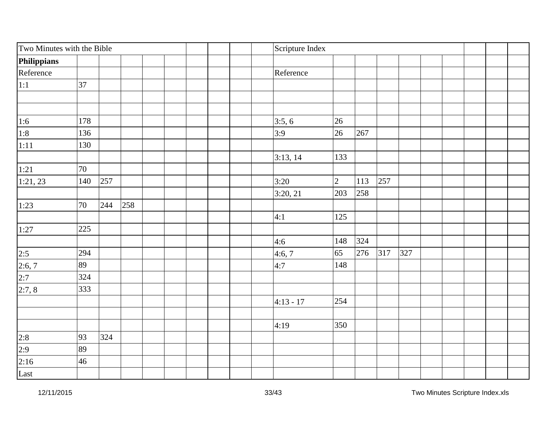| Two Minutes with the Bible |     |     |     | Scripture Index |                |     |     |     |  |  |  |
|----------------------------|-----|-----|-----|-----------------|----------------|-----|-----|-----|--|--|--|
| Philippians                |     |     |     |                 |                |     |     |     |  |  |  |
| Reference                  |     |     |     | Reference       |                |     |     |     |  |  |  |
| 1:1                        | 37  |     |     |                 |                |     |     |     |  |  |  |
|                            |     |     |     |                 |                |     |     |     |  |  |  |
|                            |     |     |     |                 |                |     |     |     |  |  |  |
|                            | 178 |     |     | 3:5, 6          | 26             |     |     |     |  |  |  |
| $\frac{1:6}{1:8}$          | 136 |     |     | 3:9             | 26             | 267 |     |     |  |  |  |
| 1:11                       | 130 |     |     |                 |                |     |     |     |  |  |  |
|                            |     |     |     | 3:13, 14        | 133            |     |     |     |  |  |  |
| 1:21                       | 70  |     |     |                 |                |     |     |     |  |  |  |
| 1:21,23                    | 140 | 257 |     | 3:20            | $\overline{2}$ | 113 | 257 |     |  |  |  |
|                            |     |     |     | 3:20, 21        | 203            | 258 |     |     |  |  |  |
| 1:23                       | 70  | 244 | 258 |                 |                |     |     |     |  |  |  |
|                            |     |     |     | 4:1             | 125            |     |     |     |  |  |  |
| 1:27                       | 225 |     |     |                 |                |     |     |     |  |  |  |
|                            |     |     |     | 4:6             | 148            | 324 |     |     |  |  |  |
| 2:5                        | 294 |     |     | 4:6,7           | 65             | 276 | 317 | 327 |  |  |  |
| $\frac{2:6,7}{2:7}$        | 89  |     |     | 4:7             | 148            |     |     |     |  |  |  |
|                            | 324 |     |     |                 |                |     |     |     |  |  |  |
| 2:7,8                      | 333 |     |     |                 |                |     |     |     |  |  |  |
|                            |     |     |     | $4:13 - 17$     | 254            |     |     |     |  |  |  |
|                            |     |     |     |                 |                |     |     |     |  |  |  |
|                            |     |     |     | 4:19            | 350            |     |     |     |  |  |  |
| $\frac{2:8}{2:9}$          | 93  | 324 |     |                 |                |     |     |     |  |  |  |
|                            | 89  |     |     |                 |                |     |     |     |  |  |  |
| 2:16                       | 46  |     |     |                 |                |     |     |     |  |  |  |
| Last                       |     |     |     |                 |                |     |     |     |  |  |  |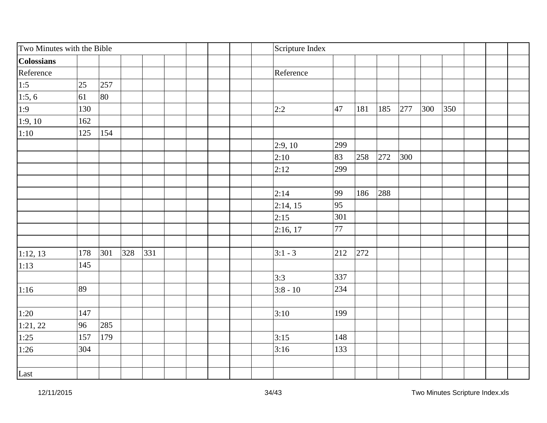| Two Minutes with the Bible |     |     |     |     |  | Scripture Index |     |     |     |     |     |     |  |  |
|----------------------------|-----|-----|-----|-----|--|-----------------|-----|-----|-----|-----|-----|-----|--|--|
| <b>Colossians</b>          |     |     |     |     |  |                 |     |     |     |     |     |     |  |  |
| Reference                  |     |     |     |     |  | Reference       |     |     |     |     |     |     |  |  |
| 1:5                        | 25  | 257 |     |     |  |                 |     |     |     |     |     |     |  |  |
| 1:5, 6                     | 61  | 80  |     |     |  |                 |     |     |     |     |     |     |  |  |
| 1:9                        | 130 |     |     |     |  | 2:2             | 47  | 181 | 185 | 277 | 300 | 350 |  |  |
| 1:9,10                     | 162 |     |     |     |  |                 |     |     |     |     |     |     |  |  |
| 1:10                       | 125 | 154 |     |     |  |                 |     |     |     |     |     |     |  |  |
|                            |     |     |     |     |  | 2:9,10          | 299 |     |     |     |     |     |  |  |
|                            |     |     |     |     |  | 2:10            | 83  | 258 | 272 | 300 |     |     |  |  |
|                            |     |     |     |     |  | 2:12            | 299 |     |     |     |     |     |  |  |
|                            |     |     |     |     |  |                 |     |     |     |     |     |     |  |  |
|                            |     |     |     |     |  | 2:14            | 99  | 186 | 288 |     |     |     |  |  |
|                            |     |     |     |     |  | 2:14, 15        | 95  |     |     |     |     |     |  |  |
|                            |     |     |     |     |  | 2:15            | 301 |     |     |     |     |     |  |  |
|                            |     |     |     |     |  | 2:16, 17        | 77  |     |     |     |     |     |  |  |
|                            |     |     |     |     |  |                 |     |     |     |     |     |     |  |  |
| 1:12, 13                   | 178 | 301 | 328 | 331 |  | $3:1 - 3$       | 212 | 272 |     |     |     |     |  |  |
| 1:13                       | 145 |     |     |     |  |                 |     |     |     |     |     |     |  |  |
|                            |     |     |     |     |  | 3:3             | 337 |     |     |     |     |     |  |  |
| 1:16                       | 89  |     |     |     |  | $3:8 - 10$      | 234 |     |     |     |     |     |  |  |
|                            |     |     |     |     |  |                 |     |     |     |     |     |     |  |  |
| 1:20                       | 147 |     |     |     |  | 3:10            | 199 |     |     |     |     |     |  |  |
| $\sqrt{1:21,22}$           | 96  | 285 |     |     |  |                 |     |     |     |     |     |     |  |  |
| 1:25                       | 157 | 179 |     |     |  | 3:15            | 148 |     |     |     |     |     |  |  |
| 1:26                       | 304 |     |     |     |  | 3:16            | 133 |     |     |     |     |     |  |  |
|                            |     |     |     |     |  |                 |     |     |     |     |     |     |  |  |
| Last                       |     |     |     |     |  |                 |     |     |     |     |     |     |  |  |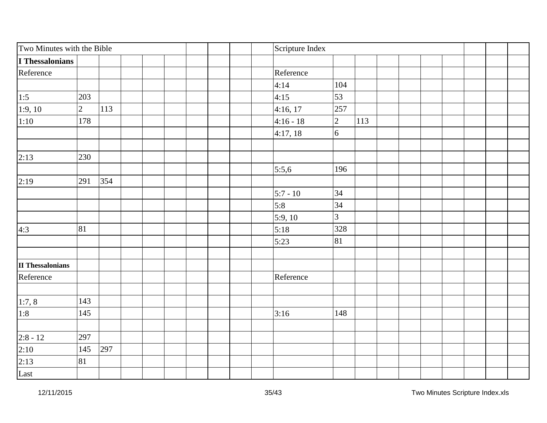| Two Minutes with the Bible |             |     |  | Scripture Index |                |     |  |  |  |  |
|----------------------------|-------------|-----|--|-----------------|----------------|-----|--|--|--|--|
| I Thessalonians            |             |     |  |                 |                |     |  |  |  |  |
| Reference                  |             |     |  | Reference       |                |     |  |  |  |  |
|                            |             |     |  | 4:14            | 104            |     |  |  |  |  |
| 1:5                        | 203         |     |  | 4:15            | 53             |     |  |  |  |  |
| 1:9,10                     | $ 2\rangle$ | 113 |  | 4:16, 17        | 257            |     |  |  |  |  |
| 1:10                       | 178         |     |  | $4:16 - 18$     | $\overline{2}$ | 113 |  |  |  |  |
|                            |             |     |  | 4:17,18         | 6              |     |  |  |  |  |
| 2:13                       | 230         |     |  |                 |                |     |  |  |  |  |
|                            |             |     |  | 5:5,6           | 196            |     |  |  |  |  |
| 2:19                       | 291         | 354 |  |                 |                |     |  |  |  |  |
|                            |             |     |  | $5:7 - 10$      | 34             |     |  |  |  |  |
|                            |             |     |  | 5:8             | 34             |     |  |  |  |  |
|                            |             |     |  | 5:9,10          | 3              |     |  |  |  |  |
| 4:3                        | 81          |     |  | 5:18            | 328            |     |  |  |  |  |
|                            |             |     |  | 5:23            | 81             |     |  |  |  |  |
| <b>II Thessalonians</b>    |             |     |  |                 |                |     |  |  |  |  |
| Reference                  |             |     |  | Reference       |                |     |  |  |  |  |
|                            |             |     |  |                 |                |     |  |  |  |  |
| 1:7,8                      | 143         |     |  |                 |                |     |  |  |  |  |
| 1:8                        | 145         |     |  | 3:16            | 148            |     |  |  |  |  |
|                            | 297         |     |  |                 |                |     |  |  |  |  |
| $\frac{2:8 - 12}{2:10}$    | 145         | 297 |  |                 |                |     |  |  |  |  |
| 2:13                       | 81          |     |  |                 |                |     |  |  |  |  |
| Last                       |             |     |  |                 |                |     |  |  |  |  |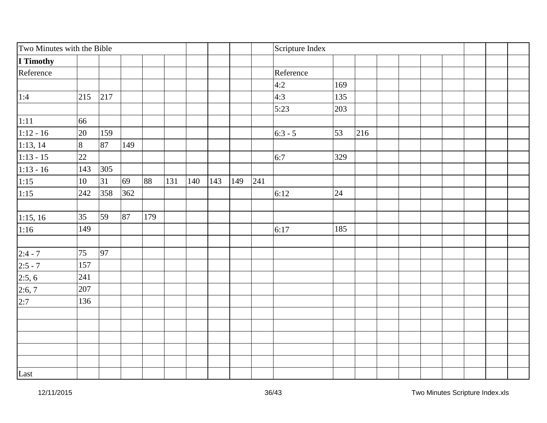| Two Minutes with the Bible |                |     |     |     |     |     |     |     |     | Scripture Index |     |     |  |  |  |  |
|----------------------------|----------------|-----|-----|-----|-----|-----|-----|-----|-----|-----------------|-----|-----|--|--|--|--|
| I Timothy                  |                |     |     |     |     |     |     |     |     |                 |     |     |  |  |  |  |
| Reference                  |                |     |     |     |     |     |     |     |     | Reference       |     |     |  |  |  |  |
|                            |                |     |     |     |     |     |     |     |     | 4:2             | 169 |     |  |  |  |  |
| 1:4                        | 215            | 217 |     |     |     |     |     |     |     | 4:3             | 135 |     |  |  |  |  |
|                            |                |     |     |     |     |     |     |     |     | 5:23            | 203 |     |  |  |  |  |
| 1:11                       | 66             |     |     |     |     |     |     |     |     |                 |     |     |  |  |  |  |
| $1:12 - 16$                | 20             | 159 |     |     |     |     |     |     |     | $6:3 - 5$       | 53  | 216 |  |  |  |  |
| 1:13, 14                   | $\overline{8}$ | 87  | 149 |     |     |     |     |     |     |                 |     |     |  |  |  |  |
| $1:13 - 15$                | 22             |     |     |     |     |     |     |     |     | 6:7             | 329 |     |  |  |  |  |
| $1:13 - 16$                | 143            | 305 |     |     |     |     |     |     |     |                 |     |     |  |  |  |  |
| 1:15                       | $10\,$         | 31  | 69  | 88  | 131 | 140 | 143 | 149 | 241 |                 |     |     |  |  |  |  |
| 1:15                       | 242            | 358 | 362 |     |     |     |     |     |     | 6:12            | 24  |     |  |  |  |  |
|                            |                |     |     |     |     |     |     |     |     |                 |     |     |  |  |  |  |
| 1:15, 16                   | 35             | 59  | 87  | 179 |     |     |     |     |     |                 |     |     |  |  |  |  |
| 1:16                       | 149            |     |     |     |     |     |     |     |     | 6:17            | 185 |     |  |  |  |  |
|                            |                |     |     |     |     |     |     |     |     |                 |     |     |  |  |  |  |
| $2:4 - 7$                  | 75             | 97  |     |     |     |     |     |     |     |                 |     |     |  |  |  |  |
| $2:5 - 7$                  | 157            |     |     |     |     |     |     |     |     |                 |     |     |  |  |  |  |
| 2:5, 6                     | 241            |     |     |     |     |     |     |     |     |                 |     |     |  |  |  |  |
| 2:6,7                      | 207            |     |     |     |     |     |     |     |     |                 |     |     |  |  |  |  |
| 2:7                        | 136            |     |     |     |     |     |     |     |     |                 |     |     |  |  |  |  |
|                            |                |     |     |     |     |     |     |     |     |                 |     |     |  |  |  |  |
|                            |                |     |     |     |     |     |     |     |     |                 |     |     |  |  |  |  |
|                            |                |     |     |     |     |     |     |     |     |                 |     |     |  |  |  |  |
|                            |                |     |     |     |     |     |     |     |     |                 |     |     |  |  |  |  |
|                            |                |     |     |     |     |     |     |     |     |                 |     |     |  |  |  |  |
| Last                       |                |     |     |     |     |     |     |     |     |                 |     |     |  |  |  |  |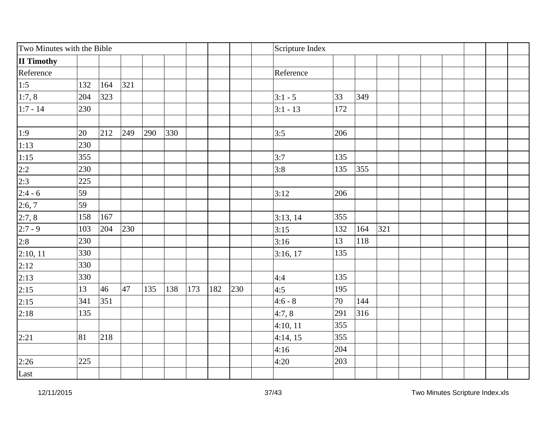| Two Minutes with the Bible              |     |     |     |     |     |     |     | Scripture Index |            |     |     |     |  |  |  |  |
|-----------------------------------------|-----|-----|-----|-----|-----|-----|-----|-----------------|------------|-----|-----|-----|--|--|--|--|
| <b>II Timothy</b>                       |     |     |     |     |     |     |     |                 |            |     |     |     |  |  |  |  |
| Reference                               |     |     |     |     |     |     |     |                 | Reference  |     |     |     |  |  |  |  |
| 1:5                                     | 132 | 164 | 321 |     |     |     |     |                 |            |     |     |     |  |  |  |  |
| 1:7,8                                   | 204 | 323 |     |     |     |     |     |                 | $3:1 - 5$  | 33  | 349 |     |  |  |  |  |
| $1:7 - 14$                              | 230 |     |     |     |     |     |     |                 | $3:1 - 13$ | 172 |     |     |  |  |  |  |
|                                         |     |     |     |     |     |     |     |                 |            |     |     |     |  |  |  |  |
| 1:9                                     | 20  | 212 | 249 | 290 | 330 |     |     |                 | 3:5        | 206 |     |     |  |  |  |  |
| 1:13                                    | 230 |     |     |     |     |     |     |                 |            |     |     |     |  |  |  |  |
|                                         | 355 |     |     |     |     |     |     |                 | 3:7        | 135 |     |     |  |  |  |  |
| $\frac{1:15}{2:2}$<br>$\frac{2:3}{2:3}$ | 230 |     |     |     |     |     |     |                 | 3:8        | 135 | 355 |     |  |  |  |  |
|                                         | 225 |     |     |     |     |     |     |                 |            |     |     |     |  |  |  |  |
| $2:4 - 6$                               | 59  |     |     |     |     |     |     |                 | 3:12       | 206 |     |     |  |  |  |  |
| 2:6,7                                   | 59  |     |     |     |     |     |     |                 |            |     |     |     |  |  |  |  |
| 2:7,8                                   | 158 | 167 |     |     |     |     |     |                 | 3:13, 14   | 355 |     |     |  |  |  |  |
| $2:7 - 9$                               | 103 | 204 | 230 |     |     |     |     |                 | 3:15       | 132 | 164 | 321 |  |  |  |  |
| 2:8                                     | 230 |     |     |     |     |     |     |                 | 3:16       | 13  | 118 |     |  |  |  |  |
| 2:10, 11                                | 330 |     |     |     |     |     |     |                 | 3:16, 17   | 135 |     |     |  |  |  |  |
| 2:12                                    | 330 |     |     |     |     |     |     |                 |            |     |     |     |  |  |  |  |
| 2:13                                    | 330 |     |     |     |     |     |     |                 | 4:4        | 135 |     |     |  |  |  |  |
| 2:15                                    | 13  | 46  | 47  | 135 | 138 | 173 | 182 | 230             | 4:5        | 195 |     |     |  |  |  |  |
| 2:15                                    | 341 | 351 |     |     |     |     |     |                 | $4:6 - 8$  | 70  | 144 |     |  |  |  |  |
| 2:18                                    | 135 |     |     |     |     |     |     |                 | 4:7,8      | 291 | 316 |     |  |  |  |  |
|                                         |     |     |     |     |     |     |     |                 | 4:10, 11   | 355 |     |     |  |  |  |  |
| 2:21                                    | 81  | 218 |     |     |     |     |     |                 | 4:14, 15   | 355 |     |     |  |  |  |  |
|                                         |     |     |     |     |     |     |     |                 | 4:16       | 204 |     |     |  |  |  |  |
| 2:26                                    | 225 |     |     |     |     |     |     |                 | 4:20       | 203 |     |     |  |  |  |  |
| Last                                    |     |     |     |     |     |     |     |                 |            |     |     |     |  |  |  |  |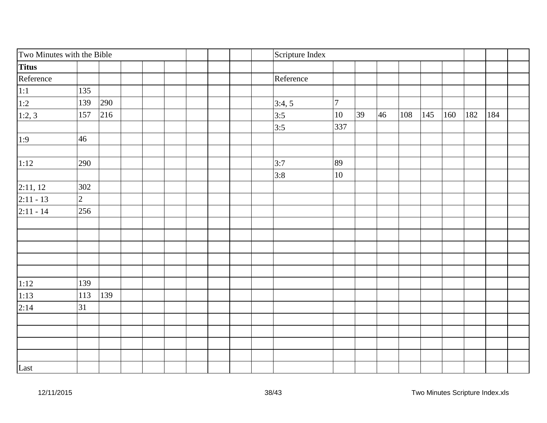| Two Minutes with the Bible               |                |  | Scripture Index |           |        |    |    |     |     |     |     |     |  |
|------------------------------------------|----------------|--|-----------------|-----------|--------|----|----|-----|-----|-----|-----|-----|--|
| Titus                                    |                |  |                 |           |        |    |    |     |     |     |     |     |  |
| Reference                                |                |  |                 | Reference |        |    |    |     |     |     |     |     |  |
|                                          | 135            |  |                 |           |        |    |    |     |     |     |     |     |  |
|                                          | 139<br>290     |  |                 | 3:4,5     | $\tau$ |    |    |     |     |     |     |     |  |
| $\frac{1:1}{1:2}$<br>$\frac{1:2}{1:2,3}$ | 216<br>157     |  |                 | 3:5       | 10     | 39 | 46 | 108 | 145 | 160 | 182 | 184 |  |
|                                          |                |  |                 | 3:5       | 337    |    |    |     |     |     |     |     |  |
| 1:9                                      | 46             |  |                 |           |        |    |    |     |     |     |     |     |  |
|                                          |                |  |                 |           |        |    |    |     |     |     |     |     |  |
| 1:12                                     | 290            |  |                 | 3:7       | 89     |    |    |     |     |     |     |     |  |
|                                          |                |  |                 | 3:8       | 10     |    |    |     |     |     |     |     |  |
| 2:11, 12                                 | 302            |  |                 |           |        |    |    |     |     |     |     |     |  |
| $2:11 - 13$                              | $\overline{2}$ |  |                 |           |        |    |    |     |     |     |     |     |  |
| $2:11 - 14$                              | 256            |  |                 |           |        |    |    |     |     |     |     |     |  |
|                                          |                |  |                 |           |        |    |    |     |     |     |     |     |  |
|                                          |                |  |                 |           |        |    |    |     |     |     |     |     |  |
|                                          |                |  |                 |           |        |    |    |     |     |     |     |     |  |
|                                          |                |  |                 |           |        |    |    |     |     |     |     |     |  |
|                                          |                |  |                 |           |        |    |    |     |     |     |     |     |  |
| 1:12                                     | 139            |  |                 |           |        |    |    |     |     |     |     |     |  |
| 1:13                                     | 139<br>113     |  |                 |           |        |    |    |     |     |     |     |     |  |
| 2:14                                     | 31             |  |                 |           |        |    |    |     |     |     |     |     |  |
|                                          |                |  |                 |           |        |    |    |     |     |     |     |     |  |
|                                          |                |  |                 |           |        |    |    |     |     |     |     |     |  |
|                                          |                |  |                 |           |        |    |    |     |     |     |     |     |  |
|                                          |                |  |                 |           |        |    |    |     |     |     |     |     |  |
| Last                                     |                |  |                 |           |        |    |    |     |     |     |     |     |  |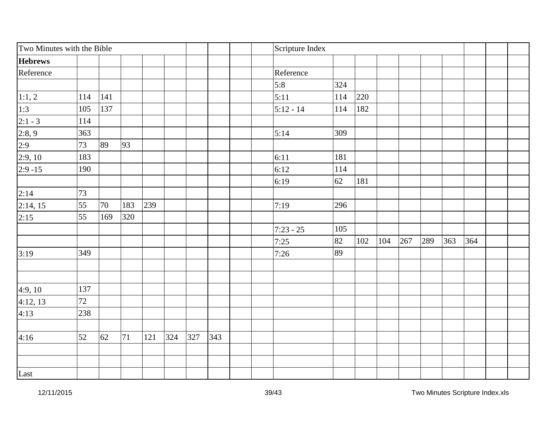| Two Minutes with the Bible |     |     |     |     |     |     | Scripture Index |  |             |     |     |     |     |     |     |     |  |
|----------------------------|-----|-----|-----|-----|-----|-----|-----------------|--|-------------|-----|-----|-----|-----|-----|-----|-----|--|
| <b>Hebrews</b>             |     |     |     |     |     |     |                 |  |             |     |     |     |     |     |     |     |  |
| Reference                  |     |     |     |     |     |     |                 |  | Reference   |     |     |     |     |     |     |     |  |
|                            |     |     |     |     |     |     |                 |  | 5:8         | 324 |     |     |     |     |     |     |  |
| 1:1,2                      | 114 | 141 |     |     |     |     |                 |  | 5:11        | 114 | 220 |     |     |     |     |     |  |
| 1:3                        | 105 | 137 |     |     |     |     |                 |  | $5:12 - 14$ | 114 | 182 |     |     |     |     |     |  |
| $2:1 - 3$                  | 114 |     |     |     |     |     |                 |  |             |     |     |     |     |     |     |     |  |
| 2:8,9                      | 363 |     |     |     |     |     |                 |  | 5:14        | 309 |     |     |     |     |     |     |  |
| 2:9                        | 73  | 89  | 93  |     |     |     |                 |  |             |     |     |     |     |     |     |     |  |
| 2:9,10                     | 183 |     |     |     |     |     |                 |  | 6:11        | 181 |     |     |     |     |     |     |  |
| $2:9 - 15$                 | 190 |     |     |     |     |     |                 |  | 6:12        | 114 |     |     |     |     |     |     |  |
|                            |     |     |     |     |     |     |                 |  | 6:19        | 62  | 181 |     |     |     |     |     |  |
| 2:14                       | 73  |     |     |     |     |     |                 |  |             |     |     |     |     |     |     |     |  |
| 2:14, 15                   | 55  | 70  | 183 | 239 |     |     |                 |  | 7:19        | 296 |     |     |     |     |     |     |  |
| 2:15                       | 55  | 169 | 320 |     |     |     |                 |  |             |     |     |     |     |     |     |     |  |
|                            |     |     |     |     |     |     |                 |  | $7:23 - 25$ | 105 |     |     |     |     |     |     |  |
|                            |     |     |     |     |     |     |                 |  | 7:25        | 82  | 102 | 104 | 267 | 289 | 363 | 364 |  |
| 3:19                       | 349 |     |     |     |     |     |                 |  | 7:26        | 89  |     |     |     |     |     |     |  |
|                            |     |     |     |     |     |     |                 |  |             |     |     |     |     |     |     |     |  |
|                            |     |     |     |     |     |     |                 |  |             |     |     |     |     |     |     |     |  |
| 4:9, 10                    | 137 |     |     |     |     |     |                 |  |             |     |     |     |     |     |     |     |  |
| 4:12, 13                   | 72  |     |     |     |     |     |                 |  |             |     |     |     |     |     |     |     |  |
| 4:13                       | 238 |     |     |     |     |     |                 |  |             |     |     |     |     |     |     |     |  |
|                            |     |     |     |     |     |     |                 |  |             |     |     |     |     |     |     |     |  |
| 4:16                       | 52  | 62  | 71  | 121 | 324 | 327 | 343             |  |             |     |     |     |     |     |     |     |  |
|                            |     |     |     |     |     |     |                 |  |             |     |     |     |     |     |     |     |  |
|                            |     |     |     |     |     |     |                 |  |             |     |     |     |     |     |     |     |  |
| Last                       |     |     |     |     |     |     |                 |  |             |     |     |     |     |     |     |     |  |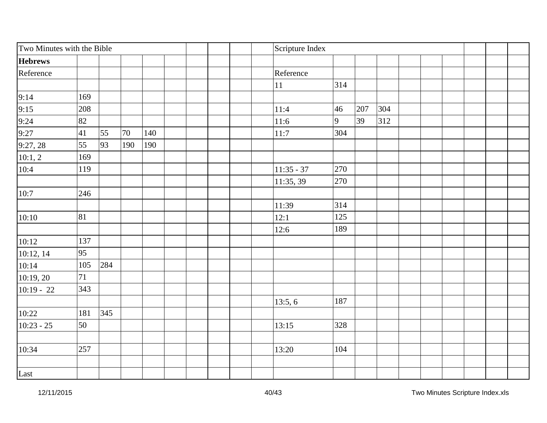| Two Minutes with the Bible |     |     |     |     |  | Scripture Index |              |     |     |     |  |  |  |  |  |
|----------------------------|-----|-----|-----|-----|--|-----------------|--------------|-----|-----|-----|--|--|--|--|--|
| <b>Hebrews</b>             |     |     |     |     |  |                 |              |     |     |     |  |  |  |  |  |
| Reference                  |     |     |     |     |  |                 | Reference    |     |     |     |  |  |  |  |  |
|                            |     |     |     |     |  |                 | $11\,$       | 314 |     |     |  |  |  |  |  |
| 9:14                       | 169 |     |     |     |  |                 |              |     |     |     |  |  |  |  |  |
| 9:15                       | 208 |     |     |     |  |                 | 11:4         | 46  | 207 | 304 |  |  |  |  |  |
| $\frac{9:24}{9:27}$        | 82  |     |     |     |  |                 | 11:6         | 9   | 39  | 312 |  |  |  |  |  |
|                            | 41  | 55  | 70  | 140 |  |                 | 11:7         | 304 |     |     |  |  |  |  |  |
| 9:27, 28                   | 55  | 93  | 190 | 190 |  |                 |              |     |     |     |  |  |  |  |  |
| 10:1, 2                    | 169 |     |     |     |  |                 |              |     |     |     |  |  |  |  |  |
| 10:4                       | 119 |     |     |     |  |                 | $11:35 - 37$ | 270 |     |     |  |  |  |  |  |
|                            |     |     |     |     |  |                 | 11:35, 39    | 270 |     |     |  |  |  |  |  |
| 10:7                       | 246 |     |     |     |  |                 |              |     |     |     |  |  |  |  |  |
|                            |     |     |     |     |  |                 | 11:39        | 314 |     |     |  |  |  |  |  |
| 10:10                      | 81  |     |     |     |  |                 | 12:1         | 125 |     |     |  |  |  |  |  |
|                            |     |     |     |     |  |                 | 12:6         | 189 |     |     |  |  |  |  |  |
| 10:12                      | 137 |     |     |     |  |                 |              |     |     |     |  |  |  |  |  |
| 10:12, 14                  | 95  |     |     |     |  |                 |              |     |     |     |  |  |  |  |  |
| 10:14                      | 105 | 284 |     |     |  |                 |              |     |     |     |  |  |  |  |  |
| 10:19, 20                  | 71  |     |     |     |  |                 |              |     |     |     |  |  |  |  |  |
| $10:19 - 22$               | 343 |     |     |     |  |                 |              |     |     |     |  |  |  |  |  |
|                            |     |     |     |     |  |                 | 13:5, 6      | 187 |     |     |  |  |  |  |  |
| 10:22                      | 181 | 345 |     |     |  |                 |              |     |     |     |  |  |  |  |  |
| $10:23 - 25$               | 50  |     |     |     |  |                 | 13:15        | 328 |     |     |  |  |  |  |  |
|                            |     |     |     |     |  |                 |              |     |     |     |  |  |  |  |  |
| 10:34                      | 257 |     |     |     |  |                 | 13:20        | 104 |     |     |  |  |  |  |  |
|                            |     |     |     |     |  |                 |              |     |     |     |  |  |  |  |  |
| Last                       |     |     |     |     |  |                 |              |     |     |     |  |  |  |  |  |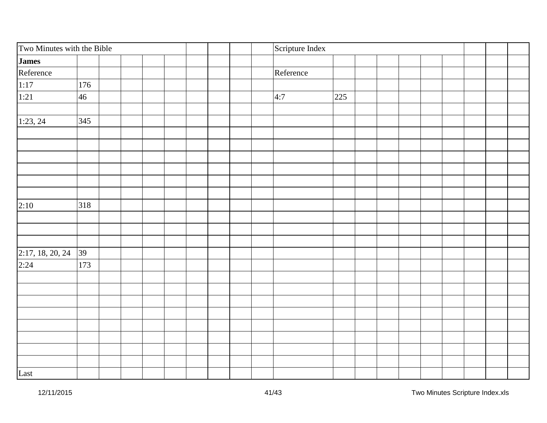| Two Minutes with the Bible |     |  | Scripture Index |     |  |  |  |  |  |  |  |
|----------------------------|-----|--|-----------------|-----|--|--|--|--|--|--|--|
| <b>James</b>               |     |  |                 |     |  |  |  |  |  |  |  |
| Reference                  |     |  | Reference       |     |  |  |  |  |  |  |  |
|                            | 176 |  |                 |     |  |  |  |  |  |  |  |
| $\frac{1:17}{1:21}$        | 46  |  | 4:7             | 225 |  |  |  |  |  |  |  |
|                            |     |  |                 |     |  |  |  |  |  |  |  |
| 1:23, 24                   | 345 |  |                 |     |  |  |  |  |  |  |  |
|                            |     |  |                 |     |  |  |  |  |  |  |  |
|                            |     |  |                 |     |  |  |  |  |  |  |  |
|                            |     |  |                 |     |  |  |  |  |  |  |  |
|                            |     |  |                 |     |  |  |  |  |  |  |  |
|                            |     |  |                 |     |  |  |  |  |  |  |  |
|                            |     |  |                 |     |  |  |  |  |  |  |  |
| 2:10                       | 318 |  |                 |     |  |  |  |  |  |  |  |
|                            |     |  |                 |     |  |  |  |  |  |  |  |
|                            |     |  |                 |     |  |  |  |  |  |  |  |
|                            |     |  |                 |     |  |  |  |  |  |  |  |
| 2:17, 18, 20, 24           | 39  |  |                 |     |  |  |  |  |  |  |  |
| 2:24                       | 173 |  |                 |     |  |  |  |  |  |  |  |
|                            |     |  |                 |     |  |  |  |  |  |  |  |
|                            |     |  |                 |     |  |  |  |  |  |  |  |
|                            |     |  |                 |     |  |  |  |  |  |  |  |
|                            |     |  |                 |     |  |  |  |  |  |  |  |
|                            |     |  |                 |     |  |  |  |  |  |  |  |
|                            |     |  |                 |     |  |  |  |  |  |  |  |
|                            |     |  |                 |     |  |  |  |  |  |  |  |
|                            |     |  |                 |     |  |  |  |  |  |  |  |
| Last                       |     |  |                 |     |  |  |  |  |  |  |  |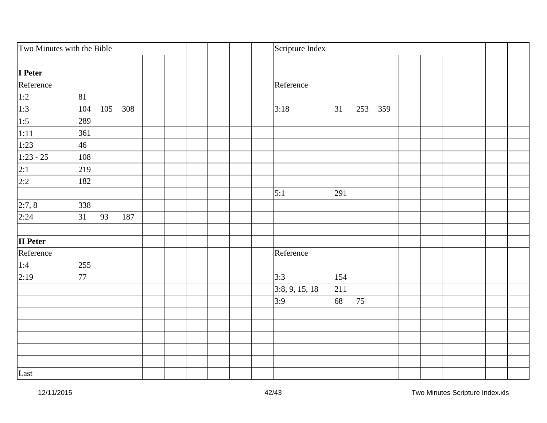| Two Minutes with the Bible              |     |     |     |  |  |  | Scripture Index |                |     |     |     |  |  |  |  |
|-----------------------------------------|-----|-----|-----|--|--|--|-----------------|----------------|-----|-----|-----|--|--|--|--|
|                                         |     |     |     |  |  |  |                 |                |     |     |     |  |  |  |  |
| I Peter                                 |     |     |     |  |  |  |                 |                |     |     |     |  |  |  |  |
| Reference                               |     |     |     |  |  |  |                 | Reference      |     |     |     |  |  |  |  |
|                                         | 81  |     |     |  |  |  |                 |                |     |     |     |  |  |  |  |
| $\frac{1:2}{1:3}$<br>$\frac{1:5}{1:11}$ | 104 | 105 | 308 |  |  |  |                 | 3:18           | 31  | 253 | 359 |  |  |  |  |
|                                         | 289 |     |     |  |  |  |                 |                |     |     |     |  |  |  |  |
|                                         | 361 |     |     |  |  |  |                 |                |     |     |     |  |  |  |  |
| 1:23                                    | 46  |     |     |  |  |  |                 |                |     |     |     |  |  |  |  |
| $1:23 - 25$                             | 108 |     |     |  |  |  |                 |                |     |     |     |  |  |  |  |
| $\frac{2:1}{2:2}$                       | 219 |     |     |  |  |  |                 |                |     |     |     |  |  |  |  |
|                                         | 182 |     |     |  |  |  |                 |                |     |     |     |  |  |  |  |
|                                         |     |     |     |  |  |  |                 | 5:1            | 291 |     |     |  |  |  |  |
| 2:7,8                                   | 338 |     |     |  |  |  |                 |                |     |     |     |  |  |  |  |
| 2:24                                    | 31  | 93  | 187 |  |  |  |                 |                |     |     |     |  |  |  |  |
| <b>II</b> Peter                         |     |     |     |  |  |  |                 |                |     |     |     |  |  |  |  |
| Reference                               |     |     |     |  |  |  |                 | Reference      |     |     |     |  |  |  |  |
| $\frac{1:4}{2:19}$                      | 255 |     |     |  |  |  |                 |                |     |     |     |  |  |  |  |
|                                         | 77  |     |     |  |  |  |                 | 3:3            | 154 |     |     |  |  |  |  |
|                                         |     |     |     |  |  |  |                 | 3:8, 9, 15, 18 | 211 |     |     |  |  |  |  |
|                                         |     |     |     |  |  |  |                 | 3:9            | 68  | 75  |     |  |  |  |  |
|                                         |     |     |     |  |  |  |                 |                |     |     |     |  |  |  |  |
|                                         |     |     |     |  |  |  |                 |                |     |     |     |  |  |  |  |
|                                         |     |     |     |  |  |  |                 |                |     |     |     |  |  |  |  |
|                                         |     |     |     |  |  |  |                 |                |     |     |     |  |  |  |  |
|                                         |     |     |     |  |  |  |                 |                |     |     |     |  |  |  |  |
| Last                                    |     |     |     |  |  |  |                 |                |     |     |     |  |  |  |  |